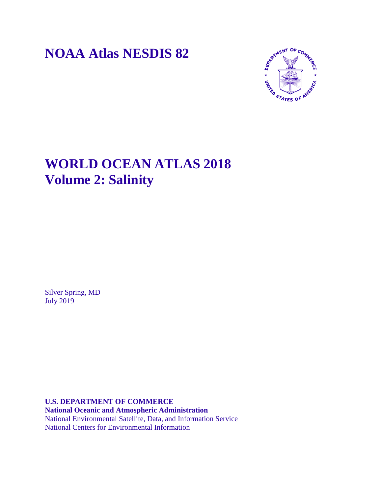**NOAA Atlas NESDIS 82**



# **WORLD OCEAN ATLAS 2018 Volume 2: Salinity**

Silver Spring, MD July 2019

**U.S. DEPARTMENT OF COMMERCE National Oceanic and Atmospheric Administration** National Environmental Satellite, Data, and Information Service National Centers for Environmental Information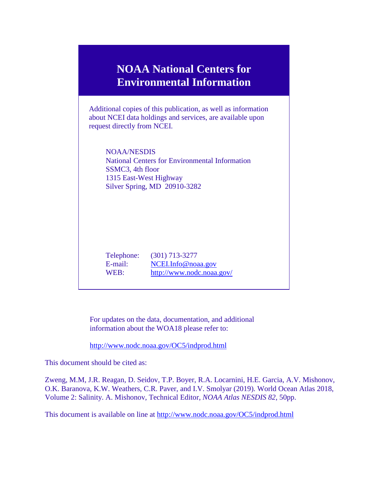# **NOAA National Centers for Environmental Information**

Additional copies of this publication, as well as information about NCEI data holdings and services, are available upon request directly from NCEI.

NOAA/NESDIS National Centers for Environmental Information SSMC3, 4th floor 1315 East-West Highway Silver Spring, MD 20910-3282

Telephone: (301) 713-3277 E-mail: [NCEI.Info@noaa.gov](mailto:NCEI.info@noaa.gov) WEB: <http://www.nodc.noaa.gov/>

For updates on the data, documentation, and additional information about the WOA18 please refer to:

<http://www.nodc.noaa.gov/OC5/indprod.html>

This document should be cited as:

Zweng, M.M, J.R. Reagan, D. Seidov, T.P. Boyer, R.A. Locarnini, H.E. Garcia, A.V. Mishonov, O.K. Baranova, K.W. Weathers, C.R. Paver, and I.V. Smolyar (2019). World Ocean Atlas 2018, Volume 2: Salinity. A. Mishonov, Technical Editor, *NOAA Atlas NESDIS 82*, 50pp.

This document is available on line at<http://www.nodc.noaa.gov/OC5/indprod.html>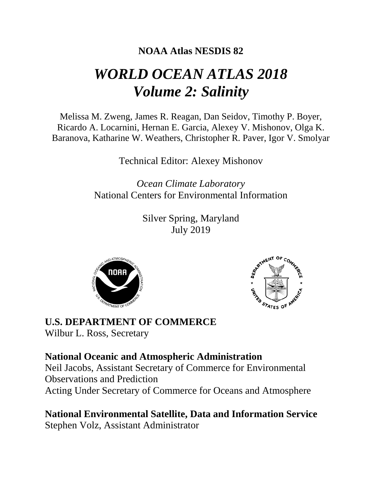# **NOAA Atlas NESDIS 82**

# *WORLD OCEAN ATLAS 2018 Volume 2: Salinity*

Melissa M. Zweng, James R. Reagan, Dan Seidov, Timothy P. Boyer, Ricardo A. Locarnini, Hernan E. Garcia, Alexey V. Mishonov, Olga K. Baranova, Katharine W. Weathers, Christopher R. Paver, Igor V. Smolyar

Technical Editor: Alexey Mishonov

*Ocean Climate Laboratory* National Centers for Environmental Information

> Silver Spring, Maryland July 2019





# **U.S. DEPARTMENT OF COMMERCE** Wilbur L. Ross, Secretary

# **National Oceanic and Atmospheric Administration**

Neil Jacobs, Assistant Secretary of Commerce for Environmental Observations and Prediction

Acting Under Secretary of Commerce for Oceans and Atmosphere

**National Environmental Satellite, Data and Information Service** Stephen Volz, Assistant Administrator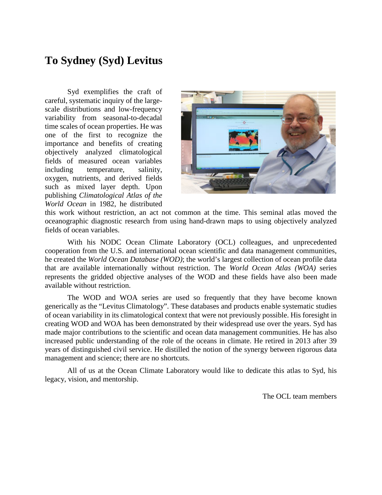# **To Sydney (Syd) Levitus**

Syd exemplifies the craft of careful, systematic inquiry of the largescale distributions and low-frequency variability from seasonal-to-decadal time scales of ocean properties. He was one of the first to recognize the importance and benefits of creating objectively analyzed climatological fields of measured ocean variables including temperature, salinity, oxygen, nutrients, and derived fields such as mixed layer depth. Upon publishing *Climatological Atlas of the World Ocean* in 1982, he distributed



this work without restriction, an act not common at the time. This seminal atlas moved the oceanographic diagnostic research from using hand-drawn maps to using objectively analyzed fields of ocean variables.

With his NODC Ocean Climate Laboratory (OCL) colleagues, and unprecedented cooperation from the U.S. and international ocean scientific and data management communities, he created the *World Ocean Database (WOD)*; the world's largest collection of ocean profile data that are available internationally without restriction. The *World Ocean Atlas (WOA)* series represents the gridded objective analyses of the WOD and these fields have also been made available without restriction.

The WOD and WOA series are used so frequently that they have become known generically as the "Levitus Climatology". These databases and products enable systematic studies of ocean variability in its climatological context that were not previously possible. His foresight in creating WOD and WOA has been demonstrated by their widespread use over the years. Syd has made major contributions to the scientific and ocean data management communities. He has also increased public understanding of the role of the oceans in climate. He retired in 2013 after 39 years of distinguished civil service. He distilled the notion of the synergy between rigorous data management and science; there are no shortcuts.

All of us at the Ocean Climate Laboratory would like to dedicate this atlas to Syd, his legacy, vision, and mentorship.

The OCL team members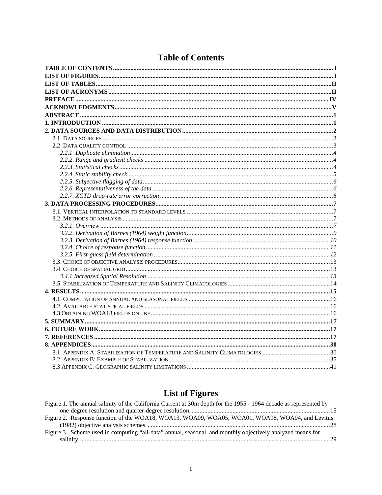# **List of Figures**

| Figure 1. The annual salinity of the California Current at 30m depth for the 1955 - 1964 decade as represented by |  |
|-------------------------------------------------------------------------------------------------------------------|--|
|                                                                                                                   |  |
| Figure 2. Response function of the WOA18, WOA13, WOA09, WOA05, WOA01, WOA98, WOA94, and Levitus                   |  |
|                                                                                                                   |  |
| Figure 3. Scheme used in computing "all-data" annual, seasonal, and monthly objectively analyzed means for        |  |
|                                                                                                                   |  |
|                                                                                                                   |  |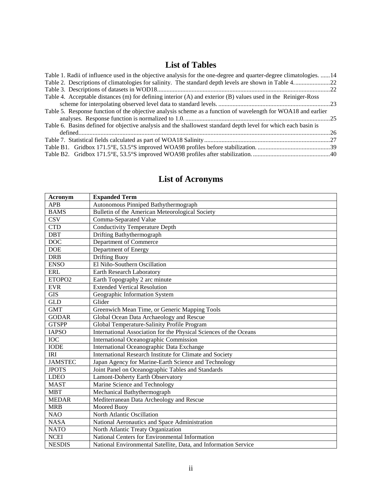# **List of Tables**

| Table 1. Radii of influence used in the objective analysis for the one-degree and quarter-degree climatologies. 14 |  |
|--------------------------------------------------------------------------------------------------------------------|--|
|                                                                                                                    |  |
|                                                                                                                    |  |
| Table 4. Acceptable distances (m) for defining interior (A) and exterior (B) values used in the Reiniger-Ross      |  |
|                                                                                                                    |  |
| Table 5. Response function of the objective analysis scheme as a function of wavelength for WOA18 and earlier      |  |
|                                                                                                                    |  |
| Table 6. Basins defined for objective analysis and the shallowest standard depth level for which each basin is     |  |
|                                                                                                                    |  |
|                                                                                                                    |  |
|                                                                                                                    |  |
|                                                                                                                    |  |
|                                                                                                                    |  |

| Acronym            | <b>Expanded Term</b>                                              |
|--------------------|-------------------------------------------------------------------|
| <b>APB</b>         | Autonomous Pinniped Bathythermograph                              |
| <b>BAMS</b>        | Bulletin of the American Meteorological Society                   |
| <b>CSV</b>         | Comma-Separated Value                                             |
| <b>CTD</b>         | <b>Conductivity Temperature Depth</b>                             |
| <b>DBT</b>         | Drifting Bathythermograph                                         |
| DOC                | Department of Commerce                                            |
| <b>DOE</b>         | Department of Energy                                              |
| <b>DRB</b>         | <b>Drifting Buoy</b>                                              |
| <b>ENSO</b>        | El Niño-Southern Oscillation                                      |
| <b>ERL</b>         | Earth Research Laboratory                                         |
| ETOPO <sub>2</sub> | Earth Topography 2 arc minute                                     |
| <b>EVR</b>         | <b>Extended Vertical Resolution</b>                               |
| <b>GIS</b>         | Geographic Information System                                     |
| <b>GLD</b>         | Glider                                                            |
| <b>GMT</b>         | Greenwich Mean Time, or Generic Mapping Tools                     |
| <b>GODAR</b>       | Global Ocean Data Archaeology and Rescue                          |
| <b>GTSPP</b>       | Global Temperature-Salinity Profile Program                       |
| <b>IAPSO</b>       | International Association for the Physical Sciences of the Oceans |
| $\overline{IOC}$   | <b>International Oceanographic Commission</b>                     |
| <b>IODE</b>        | International Oceanographic Data Exchange                         |
| <b>IRI</b>         | International Research Institute for Climate and Society          |
| <b>JAMSTEC</b>     | Japan Agency for Marine-Earth Science and Technology              |
| <b>JPOTS</b>       | Joint Panel on Oceanographic Tables and Standards                 |
| <b>LDEO</b>        | Lamont-Doherty Earth Observatory                                  |
| <b>MAST</b>        | Marine Science and Technology                                     |
| <b>MBT</b>         | Mechanical Bathythermograph                                       |
| <b>MEDAR</b>       | Mediterranean Data Archeology and Rescue                          |
| <b>MRB</b>         | Moored Buoy                                                       |
| <b>NAO</b>         | North Atlantic Oscillation                                        |
| <b>NASA</b>        | National Aeronautics and Space Administration                     |
| <b>NATO</b>        | North Atlantic Treaty Organization                                |
| <b>NCEI</b>        | National Centers for Environmental Information                    |
| <b>NESDIS</b>      | National Environmental Satellite, Data, and Information Service   |

# **List of Acronyms**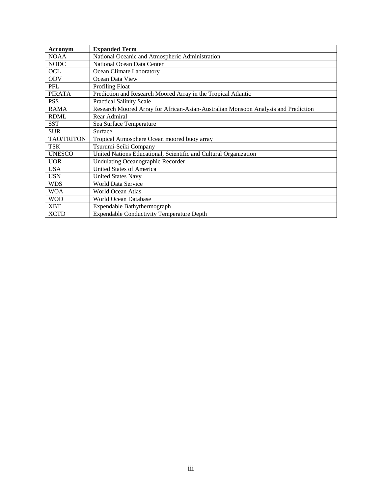| Acronym           | <b>Expanded Term</b>                                                               |
|-------------------|------------------------------------------------------------------------------------|
| <b>NOAA</b>       | National Oceanic and Atmospheric Administration                                    |
| <b>NODC</b>       | National Ocean Data Center                                                         |
| <b>OCL</b>        | Ocean Climate Laboratory                                                           |
| <b>ODV</b>        | Ocean Data View                                                                    |
| PFL               | <b>Profiling Float</b>                                                             |
| <b>PIRATA</b>     | Prediction and Research Moored Array in the Tropical Atlantic                      |
| <b>PSS</b>        | <b>Practical Salinity Scale</b>                                                    |
| <b>RAMA</b>       | Research Moored Array for African-Asian-Australian Monsoon Analysis and Prediction |
| <b>RDML</b>       | Rear Admiral                                                                       |
| <b>SST</b>        | Sea Surface Temperature                                                            |
| <b>SUR</b>        | Surface                                                                            |
| <b>TAO/TRITON</b> | Tropical Atmosphere Ocean moored buoy array                                        |
| <b>TSK</b>        | Tsurumi-Seiki Company                                                              |
| <b>UNESCO</b>     | United Nations Educational, Scientific and Cultural Organization                   |
| <b>UOR</b>        | <b>Undulating Oceanographic Recorder</b>                                           |
| <b>USA</b>        | <b>United States of America</b>                                                    |
| <b>USN</b>        | <b>United States Navy</b>                                                          |
| <b>WDS</b>        | <b>World Data Service</b>                                                          |
| <b>WOA</b>        | World Ocean Atlas                                                                  |
| <b>WOD</b>        | World Ocean Database                                                               |
| <b>XBT</b>        | Expendable Bathythermograph                                                        |
| <b>XCTD</b>       | <b>Expendable Conductivity Temperature Depth</b>                                   |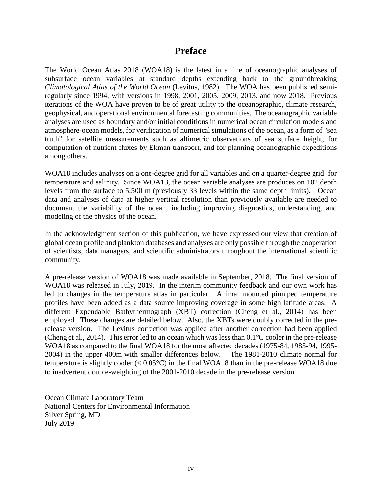# **Preface**

The World Ocean Atlas 2018 (WOA18) is the latest in a line of oceanographic analyses of subsurface ocean variables at standard depths extending back to the groundbreaking *Climatological Atlas of the World Ocean* (Levitus, 1982). The WOA has been published semiregularly since 1994, with versions in 1998, 2001, 2005, 2009, 2013, and now 2018. Previous iterations of the WOA have proven to be of great utility to the oceanographic, climate research, geophysical, and operational environmental forecasting communities. The oceanographic variable analyses are used as boundary and/or initial conditions in numerical ocean circulation models and atmosphere-ocean models, for verification of numerical simulations of the ocean, as a form of "sea truth" for satellite measurements such as altimetric observations of sea surface height, for computation of nutrient fluxes by Ekman transport, and for planning oceanographic expeditions among others.

WOA18 includes analyses on a one-degree grid for all variables and on a quarter-degree grid for temperature and salinity. Since WOA13, the ocean variable analyses are produces on 102 depth levels from the surface to 5,500 m (previously 33 levels within the same depth limits). Ocean data and analyses of data at higher vertical resolution than previously available are needed to document the variability of the ocean, including improving diagnostics, understanding, and modeling of the physics of the ocean.

In the acknowledgment section of this publication, we have expressed our view that creation of global ocean profile and plankton databases and analyses are only possible through the cooperation of scientists, data managers, and scientific administrators throughout the international scientific community.

A pre-release version of WOA18 was made available in September, 2018. The final version of WOA18 was released in July, 2019. In the interim community feedback and our own work has led to changes in the temperature atlas in particular. Animal mounted pinniped temperature profiles have been added as a data source improving coverage in some high latitude areas. A different Expendable Bathythermograph (XBT) correction (Cheng et al., 2014) has been employed. These changes are detailed below. Also, the XBTs were doubly corrected in the prerelease version. The Levitus correction was applied after another correction had been applied (Cheng et al., 2014). This error led to an ocean which was less than 0.1°C cooler in the pre-release WOA18 as compared to the final WOA18 for the most affected decades (1975-84, 1985-94, 1995- 2004) in the upper 400m with smaller differences below. The 1981-2010 climate normal for temperature is slightly cooler (< 0.05°C) in the final WOA18 than in the pre-release WOA18 due to inadvertent double-weighting of the 2001-2010 decade in the pre-release version.

Ocean Climate Laboratory Team National Centers for Environmental Information Silver Spring, MD July 2019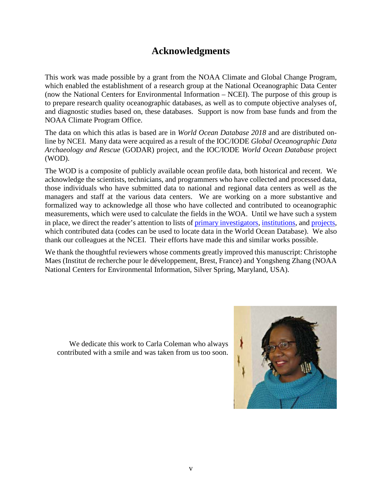# **Acknowledgments**

This work was made possible by a grant from the NOAA Climate and Global Change Program, which enabled the establishment of a research group at the National Oceanographic Data Center (now the National Centers for Environmental Information – NCEI). The purpose of this group is to prepare research quality oceanographic databases, as well as to compute objective analyses of, and diagnostic studies based on, these databases. Support is now from base funds and from the NOAA Climate Program Office.

The data on which this atlas is based are in *World Ocean Database 2018* and are distributed online by NCEI. Many data were acquired as a result of the IOC/IODE *Global Oceanographic Data Archaeology and Rescue* (GODAR) project, and the IOC/IODE *World Ocean Database* project (WOD).

The WOD is a composite of publicly available ocean profile data, both historical and recent. We acknowledge the scientists, technicians, and programmers who have collected and processed data, those individuals who have submitted data to national and regional data centers as well as the managers and staff at the various data centers. We are working on a more substantive and formalized way to acknowledge all those who have collected and contributed to oceanographic measurements, which were used to calculate the fields in the WOA. Until we have such a system in place, we direct the reader's attention to lists of [primary investigators,](http://data.nodc.noaa.gov/woa/WOD/CODES/PDF/primary_investigator_list.pdf) [institutions,](https://data.nodc.noaa.gov/woa/WOD/CODES/PDF/s_4_institute.pdf) and [projects,](https://data.nodc.noaa.gov/woa/WOD/CODES/PDF/s_2_project.pdf) which contributed data (codes can be used to locate data in the World Ocean Database). We also thank our colleagues at the NCEI. Their efforts have made this and similar works possible.

We thank the thoughtful reviewers whose comments greatly improved this manuscript: Christophe Maes (Institut de recherche pour le développement, Brest, France) and Yongsheng Zhang (NOAA National Centers for Environmental Information, Silver Spring, Maryland, USA).

We dedicate this work to Carla Coleman who always contributed with a smile and was taken from us too soon.

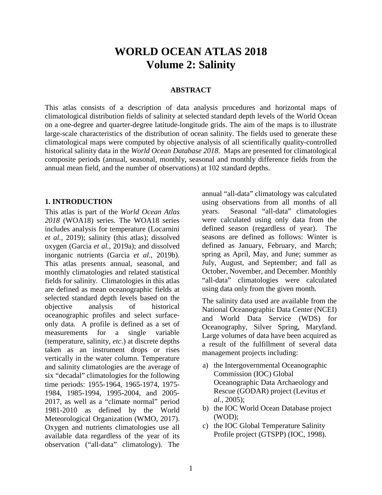# **WORLD OCEAN ATLAS 2018 Volume 2: Salinity**

#### **ABSTRACT**

This atlas consists of a description of data analysis procedures and horizontal maps of climatological distribution fields of salinity at selected standard depth levels of the World Ocean on a one-degree and quarter-degree latitude-longitude grids. The aim of the maps is to illustrate large-scale characteristics of the distribution of ocean salinity. The fields used to generate these climatological maps were computed by objective analysis of all scientifically quality-controlled historical salinity data in the *World Ocean Database 2018*. Maps are presented for climatological composite periods (annual, seasonal, monthly, seasonal and monthly difference fields from the annual mean field, and the number of observations) at 102 standard depths.

#### **1. INTRODUCTION**

This atlas is part of the *World Ocean Atlas 2018* (WOA18) series. The WOA18 series includes analysis for temperature (Locarnini *et al.*, 2019); salinity (this atlas); dissolved oxygen (Garcia *et al.*, 2019a); and dissolved inorganic nutrients (Garcia *et al.*, 2019b). This atlas presents annual, seasonal, and monthly climatologies and related statistical fields for salinity. Climatologies in this atlas are defined as mean oceanographic fields at selected standard depth levels based on the objective analysis of historical oceanographic profiles and select surfaceonly data. A profile is defined as a set of measurements for a single variable (temperature, salinity, *etc*.) at discrete depths taken as an instrument drops or rises vertically in the water column. Temperature and salinity climatologies are the average of six "decadal" climatologies for the following time periods: 1955-1964, 1965-1974, 1975- 1984, 1985-1994, 1995-2004, and 2005- 2017, as well as a "climate normal" period 1981-2010 as defined by the World Meteorological Organization (WMO, 2017). Oxygen and nutrients climatologies use all available data regardless of the year of its observation ("all-data" climatology). The

annual "all-data" climatology was calculated using observations from all months of all years. Seasonal "all-data" climatologies were calculated using only data from the defined season (regardless of year). The seasons are defined as follows: Winter is defined as January, February, and March; spring as April, May, and June; summer as July, August, and September; and fall as October, November, and December. Monthly "all-data" climatologies were calculated using data only from the given month.

The salinity data used are available from the National Oceanographic Data Center (NCEI) and World Data Service (WDS) for Oceanography, Silver Spring, Maryland. Large volumes of data have been acquired as a result of the fulfillment of several data management projects including:

- a) the Intergovernmental Oceanographic Commission (IOC) Global Oceanographic Data Archaeology and Rescue (GODAR) project (Levitus *et al.*, 2005);
- b) the IOC World Ocean Database project (WOD);
- c) the IOC Global Temperature Salinity Profile project (GTSPP) (IOC, 1998).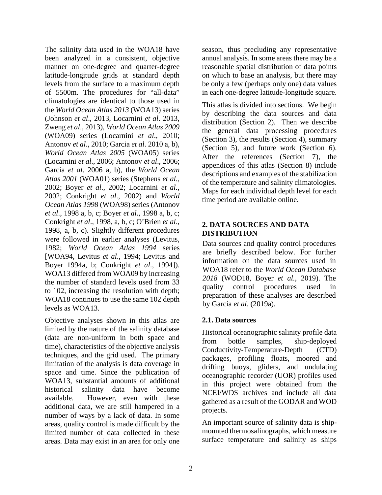The salinity data used in the WOA18 have been analyzed in a consistent, objective manner on one-degree and quarter-degree latitude-longitude grids at standard depth levels from the surface to a maximum depth of 5500m. The procedures for "all-data" climatologies are identical to those used in the *World Ocean Atlas 2013* (WOA13) series (Johnson *et al*., 2013, Locarnini *et al*. 2013, Zweng *et al*., 2013), *World Ocean Atlas 2009* (WOA09) series (Locarnini *et al*., 2010; Antonov *et al*., 2010; Garcia *et al*. 2010 a, b), *World Ocean Atlas 2005* (WOA05) series (Locarnini *et al*., 2006; Antonov *et al*., 2006; Garcia *et al*. 2006 a, b), the *World Ocean Atlas 2001* (WOA01) series (Stephens *et al.*, 2002; Boyer *et al*., 2002; Locarnini *et al.*, 2002; Conkright *et al*., 2002) and *World Ocean Atlas 1998* (WOA98) series (Antonov *et al*., 1998 a, b, c; Boyer *et al*., 1998 a, b, c; Conkright *et al*., 1998, a, b, c; O'Brien *et al*., 1998, a, b, c). Slightly different procedures were followed in earlier analyses (Levitus, 1982; *World Ocean Atlas 1994* series [WOA94, Levitus *et al*., 1994; Levitus and Boyer 1994a, b; Conkright *et al*., 1994]). WOA13 differed from WOA09 by increasing the number of standard levels used from 33 to 102, increasing the resolution with depth; WOA18 continues to use the same 102 depth levels as WOA13.

Objective analyses shown in this atlas are limited by the nature of the salinity database (data are non-uniform in both space and time), characteristics of the objective analysis techniques, and the grid used. The primary limitation of the analysis is data coverage in space and time. Since the publication of WOA13, substantial amounts of additional historical salinity data have become available. However, even with these additional data, we are still hampered in a number of ways by a lack of data. In some areas, quality control is made difficult by the limited number of data collected in these areas. Data may exist in an area for only one

season, thus precluding any representative annual analysis. In some areas there may be a reasonable spatial distribution of data points on which to base an analysis, but there may be only a few (perhaps only one) data values in each one-degree latitude-longitude square.

This atlas is divided into sections. We begin by describing the data sources and data distribution (Section 2). Then we describe the general data processing procedures (Section 3), the results (Section 4), summary (Section 5), and future work (Section 6). After the references (Section 7), the appendices of this atlas (Section 8) include descriptions and examples of the stabilization of the temperature and salinity climatologies. Maps for each individual depth level for each time period are available [online.](file://Oc5/pccommon/OCL/WOA13.doc/Salinity/https/www.nodc.noaa.gov/OC5/WOA13F/pr_woa13f.html)

## **2. DATA SOURCES AND DATA DISTRIBUTION**

Data sources and quality control procedures are briefly described below. For further information on the data sources used in WOA18 refer to the *World Ocean Database 2018* (WOD18, Boyer *et al.*, 2019). The quality control procedures used in preparation of these analyses are described by Garcia *et al*. (2019a).

## **2.1. Data sources**

Historical oceanographic salinity profile data from bottle samples, ship-deployed Conductivity-Temperature-Depth (CTD) packages, profiling floats, moored and drifting buoys, gliders, and undulating oceanographic recorder (UOR) profiles used in this project were obtained from the NCEI/WDS archives and include all data gathered as a result of the GODAR and WOD projects.

An important source of salinity data is shipmounted thermosalinographs, which measure surface temperature and salinity as ships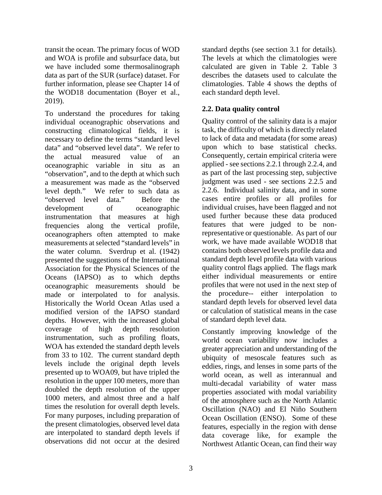transit the ocean. The primary focus of WOD and WOA is profile and subsurface data, but we have included some thermosalinograph data as part of the SUR (surface) dataset. For further information, please see Chapter 14 of the WOD18 documentation (Boyer et al., 2019).

To understand the procedures for taking individual oceanographic observations and constructing climatological fields, it is necessary to define the terms "standard level data" and "observed level data". We refer to the actual measured value of an oceanographic variable in situ as an "observation", and to the depth at which such a measurement was made as the "observed level depth." We refer to such data as "observed level data." Before the development of oceanographic instrumentation that measures at high frequencies along the vertical profile, oceanographers often attempted to make measurements at selected "standard levels" in the water column. Sverdrup et al. (1942) presented the suggestions of the International Association for the Physical Sciences of the Oceans (IAPSO) as to which depths oceanographic measurements should be made or interpolated to for analysis. Historically the World Ocean Atlas used a modified version of the IAPSO standard depths. However, with the increased global coverage of high depth resolution instrumentation, such as profiling floats, WOA has extended the standard depth levels from 33 to 102. The current standard depth levels include the original depth levels presented up to WOA09, but have tripled the resolution in the upper 100 meters, more than doubled the depth resolution of the upper 1000 meters, and almost three and a half times the resolution for overall depth levels. For many purposes, including preparation of the present climatologies, observed level data are interpolated to standard depth levels if observations did not occur at the desired

3

standard depths (see section 3.1 for details). The levels at which the climatologies were calculated are given in Table 2. Table 3 describes the datasets used to calculate the climatologies. Table 4 shows the depths of each standard depth level.

## **2.2. Data quality control**

Quality control of the salinity data is a major task, the difficulty of which is directly related to lack of data and metadata (for some areas) upon which to base statistical checks. Consequently, certain empirical criteria were applied - see sections 2.2.1 through 2.2.4, and as part of the last processing step, subjective judgment was used - see sections 2.2.5 and 2.2.6. Individual salinity data, and in some cases entire profiles or all profiles for individual cruises, have been flagged and not used further because these data produced features that were judged to be nonrepresentative or questionable. As part of our work, we have made available WOD18 that contains both observed levels profile data and standard depth level profile data with various quality control flags applied. The flags mark either individual measurements or entire profiles that were not used in the next step of the procedure-- either interpolation to standard depth levels for observed level data or calculation of statistical means in the case of standard depth level data.

Constantly improving knowledge of the world ocean variability now includes a greater appreciation and understanding of the ubiquity of mesoscale features such as eddies, rings, and lenses in some parts of the world ocean, as well as interannual and multi-decadal variability of water mass properties associated with modal variability of the atmosphere such as the North Atlantic Oscillation (NAO) and El Niño Southern Ocean Oscillation (ENSO). Some of these features, especially in the region with dense data coverage like, for example the Northwest Atlantic Ocean, can find their way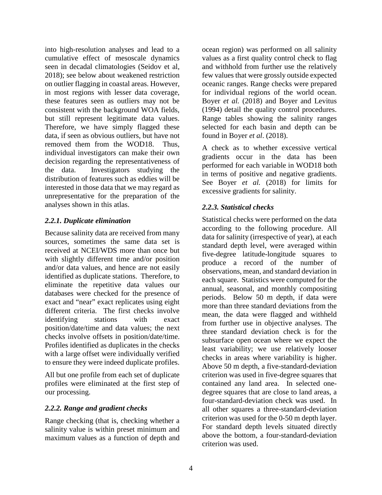into high-resolution analyses and lead to a cumulative effect of mesoscale dynamics seen in decadal climatologies (Seidov et al, 2018); see below about weakened restriction on outlier flagging in coastal areas. However, in most regions with lesser data coverage, these features seen as outliers may not be consistent with the background WOA fields, but still represent legitimate data values. Therefore, we have simply flagged these data, if seen as obvious outliers, but have not removed them from the WOD18. Thus, individual investigators can make their own decision regarding the representativeness of the data. Investigators studying the distribution of features such as eddies will be interested in those data that we may regard as unrepresentative for the preparation of the analyses shown in this atlas.

## *2.2.1. Duplicate elimination*

Because salinity data are received from many sources, sometimes the same data set is received at NCEI/WDS more than once but with slightly different time and/or position and/or data values, and hence are not easily identified as duplicate stations. Therefore, to eliminate the repetitive data values our databases were checked for the presence of exact and "near" exact replicates using eight different criteria. The first checks involve identifying stations with exact position/date/time and data values; the next checks involve offsets in position/date/time. Profiles identified as duplicates in the checks with a large offset were individually verified to ensure they were indeed duplicate profiles.

All but one profile from each set of duplicate profiles were eliminated at the first step of our processing.

#### *2.2.2. Range and gradient checks*

Range checking (that is, checking whether a salinity value is within preset minimum and maximum values as a function of depth and ocean region) was performed on all salinity values as a first quality control check to flag and withhold from further use the relatively few values that were grossly outside expected oceanic ranges. Range checks were prepared for individual regions of the world ocean. Boyer *et al.* (2018) and Boyer and Levitus (1994) detail the quality control procedures. Range tables showing the salinity ranges selected for each basin and depth can be found in Boyer *et al*. (2018).

A check as to whether excessive vertical gradients occur in the data has been performed for each variable in WOD18 both in terms of positive and negative gradients. See Boyer *et al.* (2018) for limits for excessive gradients for salinity.

## *2.2.3. Statistical checks*

Statistical checks were performed on the data according to the following procedure. All data for salinity (irrespective of year), at each standard depth level, were averaged within five-degree latitude-longitude squares to produce a record of the number of observations, mean, and standard deviation in each square. Statistics were computed for the annual, seasonal, and monthly compositing periods. Below 50 m depth, if data were more than three standard deviations from the mean, the data were flagged and withheld from further use in objective analyses. The three standard deviation check is for the subsurface open ocean where we expect the least variability; we use relatively looser checks in areas where variability is higher. Above 50 m depth, a five-standard-deviation criterion was used in five-degree squares that contained any land area. In selected onedegree squares that are close to land areas, a four-standard-deviation check was used. In all other squares a three-standard-deviation criterion was used for the 0-50 m depth layer. For standard depth levels situated directly above the bottom, a four-standard-deviation criterion was used.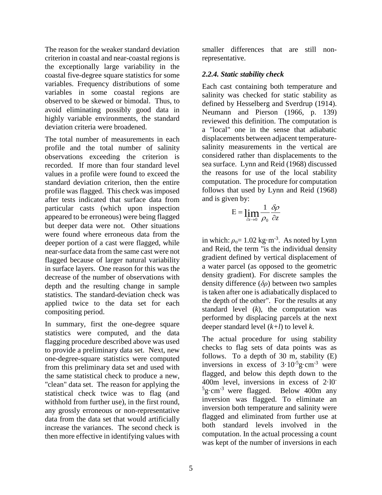The reason for the weaker standard deviation criterion in coastal and near-coastal regions is the exceptionally large variability in the coastal five-degree square statistics for some variables. Frequency distributions of some variables in some coastal regions are observed to be skewed or bimodal. Thus, to avoid eliminating possibly good data in highly variable environments, the standard deviation criteria were broadened.

The total number of measurements in each profile and the total number of salinity observations exceeding the criterion is recorded. If more than four standard level values in a profile were found to exceed the standard deviation criterion, then the entire profile was flagged. This check was imposed after tests indicated that surface data from particular casts (which upon inspection appeared to be erroneous) were being flagged but deeper data were not. Other situations were found where erroneous data from the deeper portion of a cast were flagged, while near-surface data from the same cast were not flagged because of larger natural variability in surface layers. One reason for this was the decrease of the number of observations with depth and the resulting change in sample statistics. The standard-deviation check was applied twice to the data set for each compositing period.

In summary, first the one-degree square statistics were computed, and the data flagging procedure described above was used to provide a preliminary data set. Next, new one-degree-square statistics were computed from this preliminary data set and used with the same statistical check to produce a new, "clean" data set. The reason for applying the statistical check twice was to flag (and withhold from further use), in the first round, any grossly erroneous or non-representative data from the data set that would artificially increase the variances. The second check is then more effective in identifying values with

smaller differences that are still nonrepresentative.

#### *2.2.4. Static stability check*

Each cast containing both temperature and salinity was checked for static stability as defined by Hesselberg and Sverdrup (1914). Neumann and Pierson (1966, p. 139) reviewed this definition. The computation is a "local" one in the sense that adiabatic displacements between adjacent temperaturesalinity measurements in the vertical are considered rather than displacements to the sea surface. Lynn and Reid (1968) discussed the reasons for use of the local stability computation. The procedure for computation follows that used by Lynn and Reid (1968) and is given by:

$$
E = \lim_{\partial z \to 0} \frac{1}{\rho_0} \frac{\delta \rho}{\partial z}
$$

in which:  $\rho_0 = 1.02 \text{ kg} \cdot \text{m}^{-3}$ . As noted by Lynn and Reid, the term "is the individual density gradient defined by vertical displacement of a water parcel (as opposed to the geometric density gradient). For discrete samples the density difference (*δρ*) between two samples is taken after one is adiabatically displaced to the depth of the other". For the results at any standard level  $(k)$ , the computation was performed by displacing parcels at the next deeper standard level (*k+l*) to level *k*.

The actual procedure for using stability checks to flag sets of data points was as follows. To a depth of 30 m, stability (E) inversions in excess of  $3.10^{5}$ g·cm<sup>-3</sup> were flagged, and below this depth down to the 400m level, inversions in excess of 2·l0-  $5g \cdot cm^{-3}$  were flagged. Below 400m any inversion was flagged. To eliminate an inversion both temperature and salinity were flagged and eliminated from further use at both standard levels involved in the computation. In the actual processing a count was kept of the number of inversions in each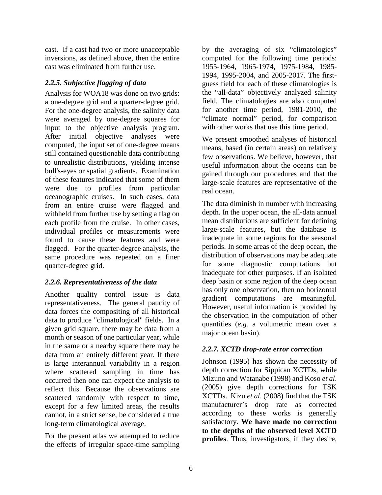cast. If a cast had two or more unacceptable inversions, as defined above, then the entire cast was eliminated from further use.

## *2.2.5. Subjective flagging of data*

Analysis for WOA18 was done on two grids: a one-degree grid and a quarter-degree grid. For the one-degree analysis, the salinity data were averaged by one-degree squares for input to the objective analysis program. After initial objective analyses were computed, the input set of one-degree means still contained questionable data contributing to unrealistic distributions, yielding intense bull's-eyes or spatial gradients. Examination of these features indicated that some of them were due to profiles from particular oceanographic cruises. In such cases, data from an entire cruise were flagged and withheld from further use by setting a flag on each profile from the cruise. In other cases, individual profiles or measurements were found to cause these features and were flagged. For the quarter-degree analysis, the same procedure was repeated on a finer quarter-degree grid.

## *2.2.6. Representativeness of the data*

Another quality control issue is data representativeness. The general paucity of data forces the compositing of all historical data to produce "climatological" fields. In a given grid square, there may be data from a month or season of one particular year, while in the same or a nearby square there may be data from an entirely different year. If there is large interannual variability in a region where scattered sampling in time has occurred then one can expect the analysis to reflect this. Because the observations are scattered randomly with respect to time, except for a few limited areas, the results cannot, in a strict sense, be considered a true long-term climatological average.

For the present atlas we attempted to reduce the effects of irregular space-time sampling by the averaging of six "climatologies" computed for the following time periods: 1955-1964, 1965-1974, 1975-1984, 1985- 1994, 1995-2004, and 2005-2017. The firstguess field for each of these climatologies is the "all-data" objectively analyzed salinity field. The climatologies are also computed for another time period, 1981-2010, the "climate normal" period, for comparison with other works that use this time period.

We present smoothed analyses of historical means, based (in certain areas) on relatively few observations. We believe, however, that useful information about the oceans can be gained through our procedures and that the large-scale features are representative of the real ocean.

The data diminish in number with increasing depth. In the upper ocean, the all-data annual mean distributions are sufficient for defining large-scale features, but the database is inadequate in some regions for the seasonal periods. In some areas of the deep ocean, the distribution of observations may be adequate for some diagnostic computations but inadequate for other purposes. If an isolated deep basin or some region of the deep ocean has only one observation, then no horizontal gradient computations are meaningful. However, useful information is provided by the observation in the computation of other quantities (*e.g.* a volumetric mean over a major ocean basin).

#### *2.2.7. XCTD drop-rate error correction*

Johnson (1995) has shown the necessity of depth correction for Sippican XCTDs, while Mizuno and Watanabe (1998) and Koso *et al*. (2005) give depth corrections for TSK XCTDs. Kizu *et al*. (2008) find that the TSK manufacturer's drop rate as corrected according to these works is generally satisfactory. **We have made no correction to the depths of the observed level XCTD profiles**. Thus, investigators, if they desire,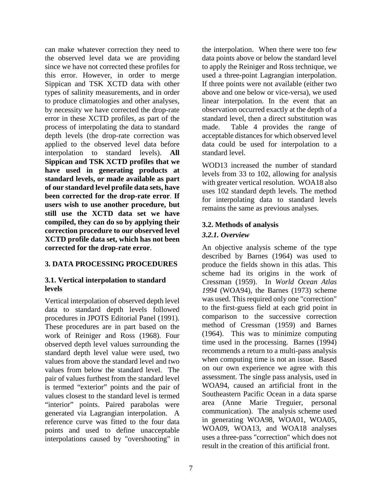can make whatever correction they need to the observed level data we are providing since we have not corrected these profiles for this error. However, in order to merge Sippican and TSK XCTD data with other types of salinity measurements, and in order to produce climatologies and other analyses, by necessity we have corrected the drop-rate error in these XCTD profiles, as part of the process of interpolating the data to standard depth levels (the drop-rate correction was applied to the observed level data before interpolation to standard levels). **All Sippican and TSK XCTD profiles that we have used in generating products at standard levels, or made available as part of our standard level profile data sets, have been corrected for the drop-rate error**. **If users wish to use another procedure, but still use the XCTD data set we have compiled, they can do so by applying their correction procedure to our observed level XCTD profile data set, which has not been corrected for the drop-rate error**.

## **3. DATA PROCESSING PROCEDURES**

#### **3.1. Vertical interpolation to standard levels**

Vertical interpolation of observed depth level data to standard depth levels followed procedures in JPOTS Editorial Panel (1991). These procedures are in part based on the work of Reiniger and Ross (1968). Four observed depth level values surrounding the standard depth level value were used, two values from above the standard level and two values from below the standard level. The pair of values furthest from the standard level is termed "exterior" points and the pair of values closest to the standard level is termed "interior" points. Paired parabolas were generated via Lagrangian interpolation. A reference curve was fitted to the four data points and used to define unacceptable interpolations caused by "overshooting" in

the interpolation. When there were too few data points above or below the standard level to apply the Reiniger and Ross technique, we used a three-point Lagrangian interpolation. If three points were not available (either two above and one below or vice-versa), we used linear interpolation. In the event that an observation occurred exactly at the depth of a standard level, then a direct substitution was made. Table 4 provides the range of acceptable distances for which observed level data could be used for interpolation to a standard level.

WOD13 increased the number of standard levels from 33 to 102, allowing for analysis with greater vertical resolution. WOA18 also uses 102 standard depth levels. The method for interpolating data to standard levels remains the same as previous analyses.

#### **3.2. Methods of analysis**

#### *3.2.1. Overview*

An objective analysis scheme of the type described by Barnes (1964) was used to produce the fields shown in this atlas. This scheme had its origins in the work of Cressman (1959). In *World Ocean Atlas 1994* (WOA94), the Barnes (1973) scheme was used. This required only one "correction" to the first-guess field at each grid point in comparison to the successive correction method of Cressman (1959) and Barnes (1964). This was to minimize computing time used in the processing. Barnes (1994) recommends a return to a multi-pass analysis when computing time is not an issue. Based on our own experience we agree with this assessment. The single pass analysis, used in WOA94, caused an artificial front in the Southeastern Pacific Ocean in a data sparse area (Anne Marie Treguier, personal communication). The analysis scheme used in generating WOA98, WOA01, WOA05, WOA09, WOA13, and WOA18 analyses uses a three-pass "correction" which does not result in the creation of this artificial front.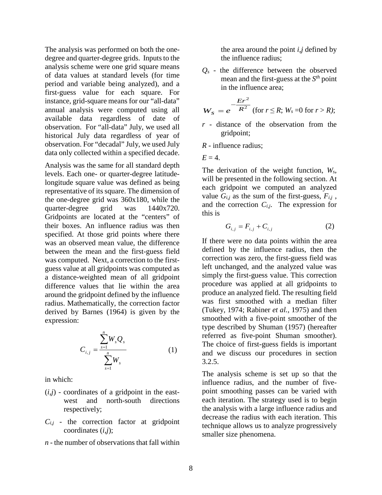The analysis was performed on both the onedegree and quarter-degree grids. Inputs to the analysis scheme were one grid square means of data values at standard levels (for time period and variable being analyzed), and a first-guess value for each square. For instance, grid-square means for our "all-data" annual analysis were computed using all available data regardless of date of observation. For "all-data" July, we used all historical July data regardless of year of observation. For "decadal" July, we used July data only collected within a specified decade.

Analysis was the same for all standard depth levels. Each one- or quarter-degree latitudelongitude square value was defined as being representative of its square. The dimension of the one-degree grid was 360x180, while the quarter-degree grid was 1440x720. Gridpoints are located at the "centers" of their boxes. An influence radius was then specified. At those grid points where there was an observed mean value, the difference between the mean and the first-guess field was computed. Next, a correction to the firstguess value at all gridpoints was computed as a distance-weighted mean of all gridpoint difference values that lie within the area around the gridpoint defined by the influence radius. Mathematically, the correction factor derived by Barnes (1964) is given by the expression:

$$
C_{i,j} = \frac{\sum_{s=1}^{n} W_s Q_s}{\sum_{s=1}^{n} W_s}
$$
 (1)

in which:

- $(i,j)$  coordinates of a gridpoint in the eastwest and north-south directions respectively;
- *Ci,j* the correction factor at gridpoint coordinates (*i,j*);
- *n* the number of observations that fall within

the area around the point *i,j* defined by the influence radius;

*Qs* - the difference between the observed mean and the first-guess at the *Sth* point in the influence area;

$$
W_s = e^{-\frac{Er^2}{R^2}}
$$
 (for  $r \le R$ ;  $W_s = 0$  for  $r > R$ );

*r* - distance of the observation from the gridpoint;

*R* - influence radius;

 $E = 4$ .

The derivation of the weight function, *Ws*, will be presented in the following section. At each gridpoint we computed an analyzed value  $G_{i,j}$  as the sum of the first-guess,  $F_{i,j}$ , and the correction  $C_{i,j}$ . The expression for this is

$$
G_{i,j} = F_{i,j} + C_{i,j}
$$
 (2)

If there were no data points within the area defined by the influence radius, then the correction was zero, the first-guess field was left unchanged, and the analyzed value was simply the first-guess value. This correction procedure was applied at all gridpoints to produce an analyzed field. The resulting field was first smoothed with a median filter (Tukey, 1974; Rabiner *et al.,* 1975) and then smoothed with a five-point smoother of the type described by Shuman (1957) (hereafter referred as five-point Shuman smoother). The choice of first-guess fields is important and we discuss our procedures in section 3.2.5.

The analysis scheme is set up so that the influence radius, and the number of fivepoint smoothing passes can be varied with each iteration. The strategy used is to begin the analysis with a large influence radius and decrease the radius with each iteration. This technique allows us to analyze progressively smaller size phenomena.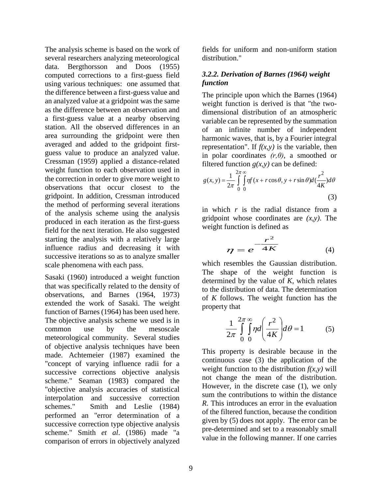The analysis scheme is based on the work of several researchers analyzing meteorological data. Bergthorsson and Doos (1955) computed corrections to a first-guess field using various techniques: one assumed that the difference between a first-guess value and an analyzed value at a gridpoint was the same as the difference between an observation and a first-guess value at a nearby observing station. All the observed differences in an area surrounding the gridpoint were then averaged and added to the gridpoint firstguess value to produce an analyzed value. Cressman (1959) applied a distance-related weight function to each observation used in the correction in order to give more weight to observations that occur closest to the gridpoint. In addition, Cressman introduced the method of performing several iterations of the analysis scheme using the analysis produced in each iteration as the first-guess field for the next iteration. He also suggested starting the analysis with a relatively large influence radius and decreasing it with successive iterations so as to analyze smaller scale phenomena with each pass.

Sasaki (1960) introduced a weight function that was specifically related to the density of observations, and Barnes (1964, 1973) extended the work of Sasaki. The weight function of Barnes (1964) has been used here. The objective analysis scheme we used is in common use by the mesoscale meteorological community. Several studies of objective analysis techniques have been made. Achtemeier (1987) examined the "concept of varying influence radii for a successive corrections objective analysis scheme." Seaman (1983) compared the "objective analysis accuracies of statistical interpolation and successive correction schemes." Smith and Leslie (1984) performed an "error determination of a successive correction type objective analysis scheme." Smith *et al*. (1986) made "a comparison of errors in objectively analyzed

fields for uniform and non-uniform station distribution."

## *3.2.2. Derivation of Barnes (1964) weight function*

The principle upon which the Barnes (1964) weight function is derived is that "the twodimensional distribution of an atmospheric variable can be represented by the summation of an infinite number of independent harmonic waves, that is, by a Fourier integral representation". If  $f(x, y)$  is the variable, then in polar coordinates *(r,θ)*, a smoothed or filtered function  $g(x, y)$  can be defined:

$$
g(x, y) = \frac{1}{2\pi} \int_{0}^{2\pi} \int_{0}^{\infty} \eta f(x + r \cos \theta, y + r \sin \theta) d(\frac{r^2}{4K}) d\theta
$$
\n(3)

in which *r* is the radial distance from a gridpoint whose coordinates are *(x,y)*. The weight function is defined as

$$
\eta = e^{-\frac{r^2}{4K}} \tag{4}
$$

which resembles the Gaussian distribution. The shape of the weight function is determined by the value of *K*, which relates to the distribution of data. The determination of *K* follows. The weight function has the property that

$$
\frac{1}{2\pi} \int_{0}^{2\pi} \int_{0}^{\infty} \eta d\left(\frac{r^2}{4K}\right) d\theta = 1
$$
 (5)

This property is desirable because in the continuous case (3) the application of the weight function to the distribution  $f(x, y)$  will not change the mean of the distribution. However, in the discrete case (1), we only sum the contributions to within the distance *R*. This introduces an error in the evaluation of the filtered function, because the condition given by (5) does not apply. The error can be pre-determined and set to a reasonably small value in the following manner. If one carries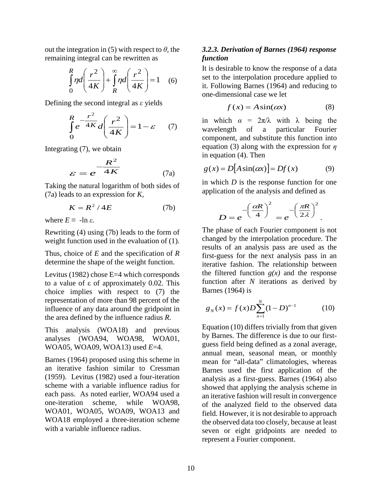out the integration in (5) with respect to  $\theta$ , the remaining integral can be rewritten as

$$
\int_{0}^{R} \eta d\left(\frac{r^2}{4K}\right) + \int_{R}^{\infty} \eta d\left(\frac{r^2}{4K}\right) = 1 \quad (6)
$$

Defining the second integral as *ε* yields

$$
\int_{0}^{R} e^{-\frac{r^2}{4K}} d\left(\frac{r^2}{4K}\right) = 1 - \varepsilon \qquad (7)
$$

Integrating (7), we obtain

$$
\varepsilon = e^{-\frac{R^2}{4K}} \tag{7a}
$$

Taking the natural logarithm of both sides of (7a) leads to an expression for *K,*

$$
K = R^2 / 4E \tag{7b}
$$

where  $E \equiv -\ln \varepsilon$ *.* 

Rewriting (4) using (7b) leads to the form of weight function used in the evaluation of  $(1)$ .

Thus, choice of *E* and the specification of *R* determine the shape of the weight function.

Levitus (1982) chose E=4 which corresponds to a value of ε of approximately 0.02. This choice implies with respect to (7) the representation of more than 98 percent of the influence of any data around the gridpoint in the area defined by the influence radius *R*.

This analysis (WOA18) and previous analyses (WOA94, WOA98, WOA01, WOA05, WOA09, WOA13) used *E*=4.

Barnes (1964) proposed using this scheme in an iterative fashion similar to Cressman (1959). Levitus (1982) used a four-iteration scheme with a variable influence radius for each pass. As noted earlier, WOA94 used a one-iteration scheme, while WOA98, WOA01, WOA05, WOA09, WOA13 and WOA18 employed a three-iteration scheme with a variable influence radius.

#### *3.2.3. Derivation of Barnes (1964) response function*

It is desirable to know the response of a data set to the interpolation procedure applied to it. Following Barnes (1964) and reducing to one-dimensional case we let

$$
f(x) = A\sin(\alpha x) \tag{8}
$$

in which  $\alpha = 2\pi/\lambda$  with  $\lambda$  being the wavelength of a particular Fourier component, and substitute this function into equation (3) along with the expression for *η* in equation (4). Then

$$
g(x) = D[A\sin(\alpha x)] = Df(x) \tag{9}
$$

in which *D* is the response function for one application of the analysis and defined as

$$
D = e^{-\left(\frac{\alpha R}{4}\right)^2} = e^{-\left(\frac{\pi R}{2\lambda}\right)^2}.
$$

The phase of each Fourier component is not changed by the interpolation procedure. The results of an analysis pass are used as the first-guess for the next analysis pass in an iterative fashion. The relationship between the filtered function  $g(x)$  and the response function after *N* iterations as derived by Barnes (1964) is

$$
g_N(x) = f(x)D\sum_{n=1}^N (1-D)^{n-1}
$$
 (10)

Equation (10) differs trivially from that given by Barnes. The difference is due to our firstguess field being defined as a zonal average, annual mean, seasonal mean, or monthly mean for "all-data" climatologies, whereas Barnes used the first application of the analysis as a first-guess. Barnes (1964) also showed that applying the analysis scheme in an iterative fashion will result in convergence of the analyzed field to the observed data field. However, it is not desirable to approach the observed data too closely, because at least seven or eight gridpoints are needed to represent a Fourier component.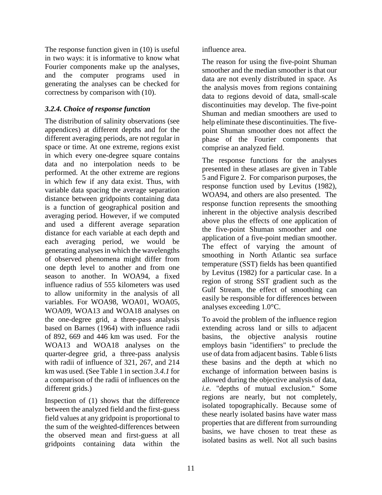The response function given in (10) is useful in two ways: it is informative to know what Fourier components make up the analyses, and the computer programs used in generating the analyses can be checked for correctness by comparison with (10).

## *3.2.4. Choice of response function*

The distribution of salinity observations (see appendices) at different depths and for the different averaging periods, are not regular in space or time. At one extreme, regions exist in which every one-degree square contains data and no interpolation needs to be performed. At the other extreme are regions in which few if any data exist. Thus, with variable data spacing the average separation distance between gridpoints containing data is a function of geographical position and averaging period. However, if we computed and used a different average separation distance for each variable at each depth and each averaging period, we would be generating analyses in which the wavelengths of observed phenomena might differ from one depth level to another and from one season to another. In WOA94, a fixed influence radius of 555 kilometers was used to allow uniformity in the analysis of all variables. For WOA98, WOA01, WOA05, WOA09, WOA13 and WOA18 analyses on the one-degree grid, a three-pass analysis based on Barnes (1964) with influence radii of 892, 669 and 446 km was used. For the WOA13 and WOA18 analyses on the quarter-degree grid, a three-pass analysis with radii of influence of 321, 267, and 214 km was used. (See Table 1 in section *3.4.1* for a comparison of the radii of influences on the different grids.)

Inspection of (1) shows that the difference between the analyzed field and the first-guess field values at any gridpoint is proportional to the sum of the weighted-differences between the observed mean and first-guess at all gridpoints containing data within the

influence area.

The reason for using the five-point Shuman smoother and the median smoother is that our data are not evenly distributed in space. As the analysis moves from regions containing data to regions devoid of data, small-scale discontinuities may develop. The five-point Shuman and median smoothers are used to help eliminate these discontinuities. The fivepoint Shuman smoother does not affect the phase of the Fourier components that comprise an analyzed field.

The response functions for the analyses presented in these atlases are given in Table 5 and Figure 2. For comparison purposes, the response function used by Levitus (1982), WOA94, and others are also presented. The response function represents the smoothing inherent in the objective analysis described above plus the effects of one application of the five-point Shuman smoother and one application of a five-point median smoother. The effect of varying the amount of smoothing in North Atlantic sea surface temperature (SST) fields has been quantified by Levitus (1982) for a particular case. In a region of strong SST gradient such as the Gulf Stream, the effect of smoothing can easily be responsible for differences between analyses exceeding 1.0°C.

To avoid the problem of the influence region extending across land or sills to adjacent basins, the objective analysis routine employs basin "identifiers" to preclude the use of data from adjacent basins. Table 6 lists these basins and the depth at which no exchange of information between basins is allowed during the objective analysis of data, *i.e.* "depths of mutual exclusion." Some regions are nearly, but not completely, isolated topographically. Because some of these nearly isolated basins have water mass properties that are different from surrounding basins, we have chosen to treat these as isolated basins as well. Not all such basins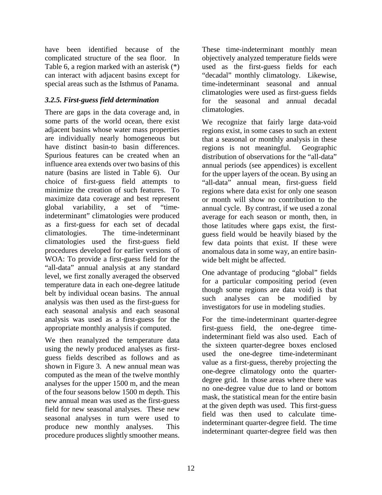have been identified because of the complicated structure of the sea floor. In Table 6, a region marked with an asterisk (\*) can interact with adjacent basins except for special areas such as the Isthmus of Panama.

## *3.2.5. First-guess field determination*

There are gaps in the data coverage and, in some parts of the world ocean, there exist adjacent basins whose water mass properties are individually nearly homogeneous but have distinct basin-to basin differences. Spurious features can be created when an influence area extends over two basins of this nature (basins are listed in Table 6). Our choice of first-guess field attempts to minimize the creation of such features. To maximize data coverage and best represent global variability, a set of "timeindeterminant" climatologies were produced as a first-guess for each set of decadal climatologies. The time-indeterminant climatologies used the first-guess field procedures developed for earlier versions of WOA: To provide a first-guess field for the "all-data" annual analysis at any standard level, we first zonally averaged the observed temperature data in each one-degree latitude belt by individual ocean basins. The annual analysis was then used as the first-guess for each seasonal analysis and each seasonal analysis was used as a first-guess for the appropriate monthly analysis if computed.

We then reanalyzed the temperature data using the newly produced analyses as firstguess fields described as follows and as shown in Figure 3. A new annual mean was computed as the mean of the twelve monthly analyses for the upper 1500 m, and the mean of the four seasons below 1500 m depth. This new annual mean was used as the first-guess field for new seasonal analyses. These new seasonal analyses in turn were used to produce new monthly analyses. This procedure produces slightly smoother means.

These time-indeterminant monthly mean objectively analyzed temperature fields were used as the first-guess fields for each "decadal" monthly climatology. Likewise, time-indeterminant seasonal and annual climatologies were used as first-guess fields for the seasonal and annual decadal climatologies.

We recognize that fairly large data-void regions exist, in some cases to such an extent that a seasonal or monthly analysis in these regions is not meaningful. Geographic distribution of observations for the "all-data" annual periods (see appendices) is excellent for the upper layers of the ocean. By using an "all-data" annual mean, first-guess field regions where data exist for only one season or month will show no contribution to the annual cycle. By contrast, if we used a zonal average for each season or month, then, in those latitudes where gaps exist, the firstguess field would be heavily biased by the few data points that exist. If these were anomalous data in some way, an entire basinwide belt might be affected.

One advantage of producing "global" fields for a particular compositing period (even though some regions are data void) is that such analyses can be modified by investigators for use in modeling studies.

For the time-indeterminant quarter-degree first-guess field, the one-degree timeindeterminant field was also used. Each of the sixteen quarter-degree boxes enclosed used the one-degree time-indeterminant value as a first-guess, thereby projecting the one-degree climatology onto the quarterdegree grid. In those areas where there was no one-degree value due to land or bottom mask, the statistical mean for the entire basin at the given depth was used. This first-guess field was then used to calculate timeindeterminant quarter-degree field. The time indeterminant quarter-degree field was then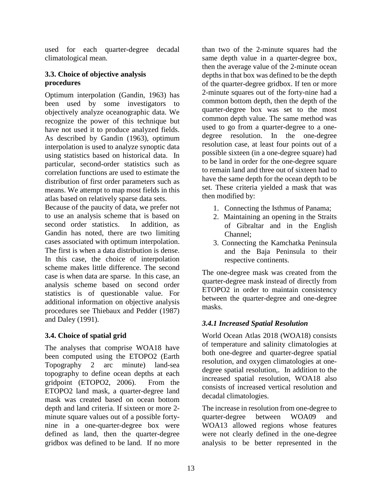used for each quarter-degree decadal climatological mean.

#### **3.3. Choice of objective analysis procedures**

Optimum interpolation (Gandin, 1963) has been used by some investigators to objectively analyze oceanographic data. We recognize the power of this technique but have not used it to produce analyzed fields. As described by Gandin (1963), optimum interpolation is used to analyze synoptic data using statistics based on historical data. In particular, second-order statistics such as correlation functions are used to estimate the distribution of first order parameters such as means. We attempt to map most fields in this atlas based on relatively sparse data sets.

Because of the paucity of data, we prefer not to use an analysis scheme that is based on second order statistics. In addition, as Gandin has noted, there are two limiting cases associated with optimum interpolation. The first is when a data distribution is dense. In this case, the choice of interpolation scheme makes little difference. The second case is when data are sparse. In this case, an analysis scheme based on second order statistics is of questionable value. For additional information on objective analysis procedures see Thiebaux and Pedder (1987) and Daley (1991).

## **3.4. Choice of spatial grid**

The analyses that comprise WOA18 have been computed using the ETOPO2 (Earth Topography 2 arc minute) land-sea topography to define ocean depths at each gridpoint (ETOPO2, 2006). From the ETOPO2 land mask, a quarter-degree land mask was created based on ocean bottom depth and land criteria. If sixteen or more 2 minute square values out of a possible fortynine in a one-quarter-degree box were defined as land, then the quarter-degree gridbox was defined to be land. If no more

than two of the 2-minute squares had the same depth value in a quarter-degree box, then the average value of the 2-minute ocean depths in that box was defined to be the depth of the quarter-degree gridbox. If ten or more 2-minute squares out of the forty-nine had a common bottom depth, then the depth of the quarter-degree box was set to the most common depth value. The same method was used to go from a quarter-degree to a onedegree resolution. In the one-degree resolution case, at least four points out of a possible sixteen (in a one-degree square) had to be land in order for the one-degree square to remain land and three out of sixteen had to have the same depth for the ocean depth to be set. These criteria yielded a mask that was then modified by:

- 1. Connecting the Isthmus of Panama;
- 2. Maintaining an opening in the Straits of Gibraltar and in the English Channel;
- 3. Connecting the Kamchatka Peninsula and the Baja Peninsula to their respective continents.

The one-degree mask was created from the quarter-degree mask instead of directly from ETOPO2 in order to maintain consistency between the quarter-degree and one-degree masks.

## *3.4.1 Increased Spatial Resolution*

World Ocean Atlas 2018 (WOA18) consists of temperature and salinity climatologies at both one-degree and quarter-degree spatial resolution, and oxygen climatologies at onedegree spatial resolution,. In addition to the increased spatial resolution, WOA18 also consists of increased vertical resolution and decadal climatologies.

The increase in resolution from one-degree to quarter-degree between WOA09 and WOA13 allowed regions whose features were not clearly defined in the one-degree analysis to be better represented in the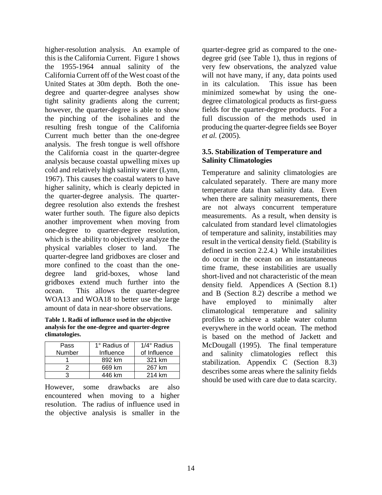higher-resolution analysis. An example of this is the California Current. Figure 1 shows the 1955-1964 annual salinity of the California Current off of the West coast of the United States at 30m depth. Both the onedegree and quarter-degree analyses show tight salinity gradients along the current; however, the quarter-degree is able to show the pinching of the isohalines and the resulting fresh tongue of the California Current much better than the one-degree analysis. The fresh tongue is well offshore the California coast in the quarter-degree analysis because coastal upwelling mixes up cold and relatively high salinity water (Lynn, 1967). This causes the coastal waters to have higher salinity, which is clearly depicted in the quarter-degree analysis. The quarterdegree resolution also extends the freshest water further south. The figure also depicts another improvement when moving from one-degree to quarter-degree resolution, which is the ability to objectively analyze the physical variables closer to land. The quarter-degree land gridboxes are closer and more confined to the coast than the onedegree land grid-boxes, whose land gridboxes extend much further into the ocean. This allows the quarter-degree WOA13 and WOA18 to better use the large amount of data in near-shore observations.

**Table 1. Radii of influence used in the objective analysis for the one-degree and quarter-degree climatologies.**

| Pass   | 1° Radius of | $1/4$ ° Radius |
|--------|--------------|----------------|
|        |              |                |
| Number | Influence    | of Influence   |
|        | 892 km       | 321 km         |
|        | 669 km       | 267 km         |
|        | 446 km       | 214 km         |

However, some drawbacks are also encountered when moving to a higher resolution. The radius of influence used in the objective analysis is smaller in the quarter-degree grid as compared to the onedegree grid (see Table 1), thus in regions of very few observations, the analyzed value will not have many, if any, data points used in its calculation. This issue has been minimized somewhat by using the onedegree climatological products as first-guess fields for the quarter-degree products. For a full discussion of the methods used in producing the quarter-degree fields see Boyer *et al.* (2005).

#### **3.5. Stabilization of Temperature and Salinity Climatologies**

Temperature and salinity climatologies are calculated separately. There are many more temperature data than salinity data. Even when there are salinity measurements, there are not always concurrent temperature measurements. As a result, when density is calculated from standard level climatologies of temperature and salinity, instabilities may result in the vertical density field. (Stability is defined in section 2.2.4.) While instabilities do occur in the ocean on an instantaneous time frame, these instabilities are usually short-lived and not characteristic of the mean density field. Appendices A (Section 8.1) and B (Section 8.2) describe a method we have employed to minimally alter climatological temperature and salinity profiles to achieve a stable water column everywhere in the world ocean. The method is based on the method of Jackett and McDougall (1995). The final temperature and salinity climatologies reflect this stabilization. Appendix C (Section 8.3) describes some areas where the salinity fields should be used with care due to data scarcity.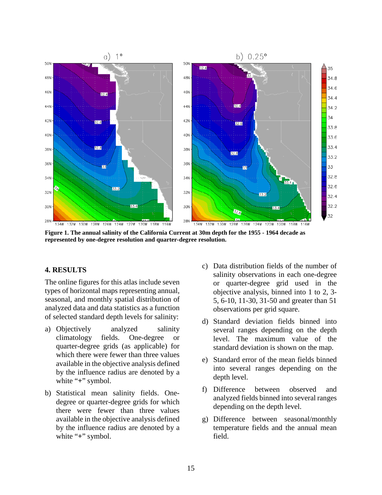

**Figure 1. The annual salinity of the California Current at 30m depth for the 1955 - 1964 decade as represented by one-degree resolution and quarter-degree resolution.**

#### **4. RESULTS**

The online figures for this atlas include seven types of horizontal maps representing annual, seasonal, and monthly spatial distribution of analyzed data and data statistics as a function of selected standard depth levels for salinity:

- a) Objectively analyzed salinity climatology fields. One-degree or quarter-degree grids (as applicable) for which there were fewer than three values available in the objective analysis defined by the influence radius are denoted by a white "**+**" symbol.
- b) Statistical mean salinity fields. Onedegree or quarter-degree grids for which there were fewer than three values available in the objective analysis defined by the influence radius are denoted by a white "**+**" symbol.
- c) Data distribution fields of the number of salinity observations in each one-degree or quarter-degree grid used in the objective analysis, binned into 1 to 2, 3- 5, 6-10, 11-30, 31-50 and greater than 51 observations per grid square.
- d) Standard deviation fields binned into several ranges depending on the depth level. The maximum value of the standard deviation is shown on the map.
- e) Standard error of the mean fields binned into several ranges depending on the depth level.
- f) Difference between observed and analyzed fields binned into several ranges depending on the depth level.
- g) Difference between seasonal/monthly temperature fields and the annual mean field.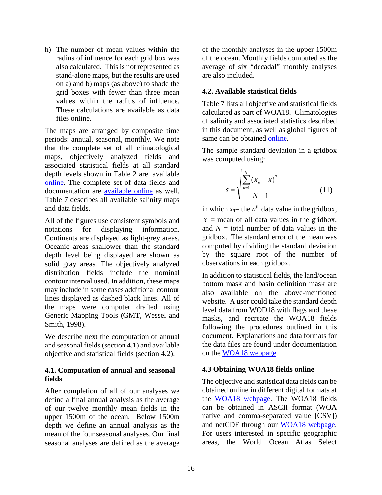h) The number of mean values within the radius of influence for each grid box was also calculated. This is not represented as stand-alone maps, but the results are used on a) and b) maps (as above) to shade the grid boxes with fewer than three mean values within the radius of influence. These calculations are available as data files online.

The maps are arranged by composite time periods: annual, seasonal, monthly. We note that the complete set of all climatological maps, objectively analyzed fields and associated statistical fields at all standard depth levels shown in Table 2 are [available](http://www.nodc.noaa.gov/OC5/indprod.html)  [online.](http://www.nodc.noaa.gov/OC5/indprod.html) The complete set of data fields and documentation are [available online](http://www.nodc.noaa.gov/OC5/indprod.html) as well. Table 7 describes all available salinity maps and data fields.

All of the figures use consistent symbols and notations for displaying information. Continents are displayed as light-grey areas. Oceanic areas shallower than the standard depth level being displayed are shown as solid gray areas. The objectively analyzed distribution fields include the nominal contour interval used. In addition, these maps may include in some cases additional contour lines displayed as dashed black lines. All of the maps were computer drafted using Generic Mapping Tools (GMT, Wessel and Smith, 1998).

We describe next the computation of annual and seasonal fields (section 4.1) and available objective and statistical fields (section 4.2).

#### **4.1. Computation of annual and seasonal fields**

After completion of all of our analyses we define a final annual analysis as the average of our twelve monthly mean fields in the upper 1500m of the ocean. Below 1500m depth we define an annual analysis as the mean of the four seasonal analyses. Our final seasonal analyses are defined as the average

of the monthly analyses in the upper 1500m of the ocean. Monthly fields computed as the average of six "decadal" monthly analyses are also included.

#### **4.2. Available statistical fields**

Table 7 lists all objective and statistical fields calculated as part of WOA18. Climatologies of salinity and associated statistics described in this document, as well as global figures of same can be [obtained online.](https://www.nodc.noaa.gov/OC5/woa18/)

The sample standard deviation in a gridbox was computed using:

$$
s = \sqrt{\frac{\sum_{n=1}^{N} (x_n - \overline{x})^2}{N - 1}}
$$
 (11)

in which  $x_n$ = the  $n^{\text{th}}$  data value in the gridbox,  $x =$  mean of all data values in the gridbox, and  $N =$  total number of data values in the gridbox. The standard error of the mean was computed by dividing the standard deviation by the square root of the number of observations in each gridbox.

In addition to statistical fields, the land/ocean bottom mask and basin definition mask are also available on the above-mentioned website. A user could take the standard depth level data from WOD18 with flags and these masks, and recreate the WOA18 fields following the procedures outlined in this document. Explanations and data formats for the data files are found under documentation on the WOA18 [webpage.](http://www.nodc.noaa.gov/OC5/WOA18/pr_woa18.html)

#### **4.3 Obtaining WOA18 fields online**

The objective and statistical data fields can be obtained online in different digital formats at the WOA18 [webpage.](http://www.nodc.noaa.gov/OC5/WOA18/pr_woa18.html) The WOA18 fields can be obtained in ASCII format (WOA native and comma-separated value [CSV]) and netCDF through our WOA18 [webpage.](http://www.nodc.noaa.gov/OC5/WOA18/pr_woa18.html) For users interested in specific geographic areas, the World Ocean Atlas Select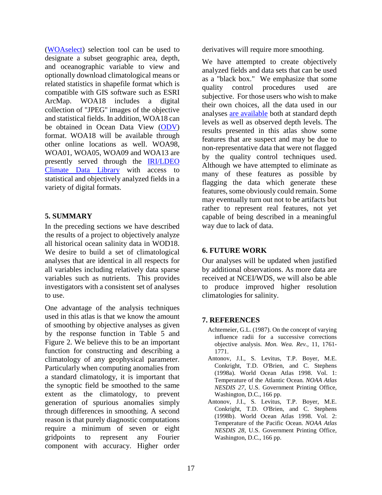[\(WOAselect\)](http://www.nodc.noaa.gov/OC5/SELECT/woaselect/woaselect.html) selection tool can be used to designate a subset geographic area, depth, and oceanographic variable to view and optionally download climatological means or related statistics in shapefile format which is compatible with GIS software such as ESRI ArcMap. WOA18 includes a digital collection of "JPEG" images of the objective and statistical fields. In addition, WOA18 can be obtained in Ocean Data View [\(ODV\)](http://odv.awi.de/) format. WOA18 will be available through other online locations as well. WOA98, WOA01, WOA05, WOA09 and WOA13 are presently served through the [IRI/LDEO](http://iridl.ldeo.columbia.edu/)  [Climate Data Library](http://iridl.ldeo.columbia.edu/) with access to statistical and objectively analyzed fields in a variety of digital formats.

## **5. SUMMARY**

In the preceding sections we have described the results of a project to objectively analyze all historical ocean salinity data in WOD18. We desire to build a set of climatological analyses that are identical in all respects for all variables including relatively data sparse variables such as nutrients. This provides investigators with a consistent set of analyses to use.

One advantage of the analysis techniques used in this atlas is that we know the amount of smoothing by objective analyses as given by the response function in Table 5 and Figure 2. We believe this to be an important function for constructing and describing a climatology of any geophysical parameter. Particularly when computing anomalies from a standard climatology, it is important that the synoptic field be smoothed to the same extent as the climatology, to prevent generation of spurious anomalies simply through differences in smoothing. A second reason is that purely diagnostic computations require a minimum of seven or eight gridpoints to represent any Fourier component with accuracy. Higher order

derivatives will require more smoothing.

We have attempted to create objectively analyzed fields and data sets that can be used as a "black box." We emphasize that some quality control procedures used are subjective. For those users who wish to make their own choices, all the data used in our analyses [are available](http://www.nodc.noaa.gov/OC5/WOD18/pr_wod18.html) both at standard depth levels as well as observed depth levels. The results presented in this atlas show some features that are suspect and may be due to non-representative data that were not flagged by the quality control techniques used. Although we have attempted to eliminate as many of these features as possible by flagging the data which generate these features, some obviously could remain. Some may eventually turn out not to be artifacts but rather to represent real features, not yet capable of being described in a meaningful way due to lack of data.

## **6. FUTURE WORK**

Our analyses will be updated when justified by additional observations. As more data are received at NCEI/WDS, we will also be able to produce improved higher resolution climatologies for salinity.

#### **7. REFERENCES**

- Achtemeier, G.L. (1987). On the concept of varying influence radii for a successive corrections objective analysis. *Mon. Wea. Rev.,* 11, 1761- 1771.
- Antonov, J.I., S. Levitus, T.P. Boyer, M.E. Conkright, T.D. O'Brien, and C. Stephens (1998a). World Ocean Atlas 1998. Vol. 1: Temperature of the Atlantic Ocean*. NOAA Atlas NESDIS 27*, U.S. Government Printing Office, Washington, D.C., 166 pp.
- Antonov, J.I., S. Levitus, T.P. Boyer, M.E. Conkright, T.D. O'Brien, and C. Stephens (1998b). World Ocean Atlas 1998. Vol. 2: Temperature of the Pacific Ocean. *NOAA Atlas NESDIS 28*, U.S. Government Printing Office, Washington, D.C., 166 pp.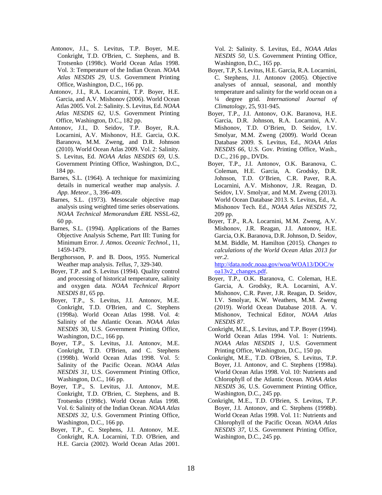- Antonov, J.I., S. Levitus, T.P. Boyer, M.E. Conkright, T.D. O'Brien, C. Stephens, and B. Trotsenko (1998c). World Ocean Atlas 1998. Vol. 3: Temperature of the Indian Ocean. *NOAA Atlas NESDIS 29*, U.S. Government Printing Office, Washington, D.C., 166 pp.
- Antonov, J.I., R.A. Locarnini, T.P. Boyer, H.E. Garcia, and A.V. Mishonov (2006). World Ocean Atlas 2005. Vol. 2: Salinity. S. Levitus, Ed. *NOAA Atlas NESDIS 62*, U.S. Government Printing Office, Washington, D.C., 182 pp.
- Antonov, J.I., D. Seidov, T.P. Boyer, R.A. Locarnini, A.V. Mishonov, H.E. Garcia, O.K. Baranova, M.M. Zweng, and D.R. Johnson (2010). World Ocean Atlas 2009. Vol. 2: Salinity. S. Levitus, Ed. *NOAA Atlas NESDIS 69*, U.S. Government Printing Office, Washington, D.C., 184 pp.
- Barnes, S.L. (1964). A technique for maximizing details in numerical weather map analysis. *J. App. Meteor.*, 3, 396-409.
- Barnes, S.L. (1973). Mesoscale objective map analysis using weighted time series observations*. NOAA Technical Memorandum ERL* NSSL-62, 60 pp.
- Barnes, S.L. (1994). Applications of the Barnes Objective Analysis Scheme, Part III: Tuning for Minimum Error. *J. Atmos. Oceanic Technol.,* 11, 1459-1479.
- Bergthorsson, P. and B. Doos, 1955. Numerical Weather map analysis. *Tellus*, 7, 329-340.
- Boyer, T.P. and S. Levitus (1994). Quality control and processing of historical temperature, salinity and oxygen data. *NOAA Technical Report NESDIS 81*, 65 pp.
- Boyer, T.P., S. Levitus, J.I. Antonov, M.E. Conkright, T.D. O'Brien, and C. Stephens (1998a). World Ocean Atlas 1998. Vol. 4: Salinity of the Atlantic Ocean. *NOAA Atlas NESDIS* 30, U.S. Government Printing Office, Washington, D.C., 166 pp.
- Boyer, T.P., S. Levitus, J.I. Antonov, M.E. Conkright, T.D. O'Brien, and C. Stephens (1998b). World Ocean Atlas 1998. Vol. 5: Salinity of the Pacific Ocean. *NOAA Atlas NESDIS 31*, U.S. Government Printing Office, Washington, D.C., 166 pp.
- Boyer, T.P., S. Levitus, J.I. Antonov, M.E. Conkright, T.D. O'Brien, C. Stephens, and B. Trotsenko (1998c). World Ocean Atlas 1998. Vol. 6: Salinity of the Indian Ocean. *NOAA Atlas NESDIS 32*, U.S. Government Printing Office, Washington, D.C., 166 pp.
- Boyer, T.P., C. Stephens, J.I. Antonov, M.E. Conkright, R.A. Locarnini, T.D. O'Brien, and H.E. Garcia (2002). World Ocean Atlas 2001.

Vol. 2: Salinity. S. Levitus, Ed., *NOAA Atlas NESDIS 50*, U.S. Government Printing Office, Washington, D.C., 165 pp.

- Boyer, T.P, S. Levitus, H.E. Garcia, R.A. Locarnini, C. Stephens, J.I. Antonov (2005). Objective analyses of annual, seasonal, and monthly temperature and salinity for the world ocean on a ¼ degree grid. *International Journal of Climatology*, 25, 931-945.
- Boyer, T.P., J.I. Antonov, O.K. Baranova, H.E. Garcia, D.R. Johnson, R.A. Locarnini, A.V. Mishonov, T.D. O'Brien, D. Seidov, I.V. Smolyar, M.M. Zweng (2009). World Ocean Database 2009. S. Levitus, Ed., *NOAA Atlas NESDIS 66*, U.S. Gov. Printing Office, Wash., D.C., 216 pp., DVDs.
- Boyer, T.P., J.I. Antonov, O.K. Baranova, C. Coleman, H.E. Garcia, A. Grodsky, D.R. Johnson, T.D. O'Brien, C.R. Paver, R.A. Locarnini, A.V. Mishonov, J.R. Reagan, D. Seidov, I.V. Smolyar, and M.M. Zweng (2013). World Ocean Database 2013. S. Levitus, Ed., A. Mishonov Tech. Ed., *NOAA Atlas NESDIS 72*, 209 pp.
- Boyer, T.P., R.A. Locarnini, M.M. Zweng, A.V. Mishonov, J.R. Reagan, J.I. Antonov, H.E. Garcia, O.K. Baranova, D.R. Johnson, D. Seidov, M.M. Biddle, M. Hamilton (2015). *Changes to calculations of the World Ocean Atlas 2013 for ver.2*.

[http://data.nodc.noaa.gov/woa/WOA13/DOC/w](http://data.nodc.noaa.gov/woa/WOA13/DOC/woa13v2_changes.pdf) [oa13v2\\_changes.pdf.](http://data.nodc.noaa.gov/woa/WOA13/DOC/woa13v2_changes.pdf) 

- Boyer, T.P., O.K. Baranova, C. Coleman, H.E. Garcia, A. Grodsky, R.A. Locarnini, A.V. Mishonov, C.R. Paver, J.R. Reagan, D. Seidov, I.V. Smolyar, K.W. Weathers, M.M. Zweng (2019). World Ocean Database 2018. A. V. Mishonov, Technical Editor, *NOAA Atlas NESDIS 87*.
- Conkright, M.E., S. Levitus, and T.P. Boyer (1994). World Ocean Atlas 1994. Vol. 1: Nutrients. *NOAA Atlas NESDIS 1*, U.S. Government Printing Office, Washington, D.C., 150 pp.
- Conkright, M.E., T.D. O'Brien, S. Levitus, T.P. Boyer, J.I. Antonov, and C. Stephens (1998a). World Ocean Atlas 1998. Vol. 10: Nutrients and Chlorophyll of the Atlantic Ocean*. NOAA Atlas NESDIS 36*, U.S. Government Printing Office, Washington, D.C., 245 pp.
- Conkright, M.E., T.D. O'Brien, S. Levitus, T.P. Boyer, J.I. Antonov, and C. Stephens (1998b). World Ocean Atlas 1998. Vol. 11: Nutrients and Chlorophyll of the Pacific Ocean*. NOAA Atlas NESDIS 37*, U.S. Government Printing Office, Washington, D.C., 245 pp.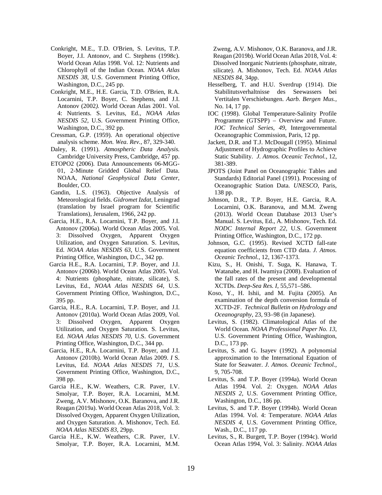- Conkright, M.E., T.D. O'Brien, S. Levitus, T.P. Boyer, J.I. Antonov, and C. Stephens (1998c). World Ocean Atlas 1998. Vol. 12: Nutrients and Chlorophyll of the Indian Ocean*. NOAA Atlas NESDIS 38*, U.S. Government Printing Office, Washington, D.C., 245 pp.
- Conkright, M.E., H.E. Garcia, T.D. O'Brien, R.A. Locarnini, T.P. Boyer, C. Stephens, and J.I. Antonov (2002*).* World Ocean Atlas 2001. Vol. 4: Nutrients*.* S. Levitus, Ed., *NOAA Atlas NESDIS 52*, U.S. Government Printing Office, Washington, D.C., 392 pp.
- Cressman, G.P. (1959). An operational objective analysis scheme. *Mon. Wea. Rev.*, 87, 329-340.
- Daley, R. (1991). *Atmospheric Data Analysis.* Cambridge University Press, Cambridge, 457 pp.
- ETOPO2 (2006). Data Announcements 06-MGG-01, 2-Minute Gridded Global Relief Data. NOAA, *National Geophysical Data Center*, Boulder, CO.
- Gandin, L.S. (1963). Objective Analysis of Meteorological fields. *Gidromet Izdat*, Leningrad (translation by Israel program for Scientific Translations), Jerusalem, 1966, 242 pp.
- Garcia, H.E., R.A. Locarnini, T.P. Boyer, and J.I. Antonov (2006a). World Ocean Atlas 2005. Vol. 3: Dissolved Oxygen, Apparent Oxygen Utilization, and Oxygen Saturation. S. Levitus, Ed. *NOAA Atlas NESDIS 63*, U.S. Government Printing Office, Washington, D.C., 342 pp.
- Garcia H.E., R.A. Locarnini, T.P. Boyer, and J.I. Antonov (2006b). World Ocean Atlas 2005. Vol. 4: Nutrients (phosphate, nitrate, silicate), S. Levitus, Ed., *NOAA Atlas NESDIS 64*, U.S. Government Printing Office, Washington, D.C., 395 pp.
- Garcia, H.E., R.A. Locarnini, T.P. Boyer, and J.I. Antonov (2010a). World Ocean Atlas 2009, Vol. 3: Dissolved Oxygen, Apparent Oxygen Utilization, and Oxygen Saturation*.* S. Levitus, Ed. *NOAA Atlas NESDIS 70*, U.S. Government Printing Office, Washington, D.C., 344 pp.
- Garcia, H.E., R.A. Locarnini, T.P. Boyer, and J.I. Antonov (2010b). World Ocean Atlas 2009. *I* S. Levitus, Ed. *NOAA Atlas NESDIS 71*, U.S. Government Printing Office, Washington, D.C., 398 pp.
- Garcia H.E., K.W. Weathers, C.R. Paver, I.V. Smolyar, T.P. Boyer, R.A. Locarnini, M.M. Zweng, A.V. Mishonov, O.K. Baranova, and J.R. Reagan (2019a). World Ocean Atlas 2018, Vol. 3: Dissolved Oxygen, Apparent Oxygen Utilization, and Oxygen Saturation. A. Mishonov, Tech. Ed. *NOAA Atlas NESDIS 83*, 29pp.
- Garcia H.E., K.W. Weathers, C.R. Paver, I.V. Smolyar, T.P. Boyer, R.A. Locarnini, M.M.

Zweng, A.V. Mishonov, O.K. Baranova, and J.R. Reagan (2019b). World Ocean Atlas 2018, Vol. 4: Dissolved Inorganic Nutrients (phosphate, nitrate, silicate). A. Mishonov, Tech. Ed. *NOAA Atlas NESDIS 84*, 34pp.

- Hesselberg, T. and H.U. Sverdrup (1914). Die Stabilitutsverhaltnisse des Seewassers bei Vertitalen Verschiebungen. *Aarb. Bergen Mus.,* No. 14, 17 pp.
- IOC (1998). Global Temperature-Salinity Profile Programme (GTSPP) – Overview and Future. *IOC Technical Series, 49*, Intergovernmental Oceanographic Commission, Paris, 12 pp.
- Jackett, D.R. and T.J. McDougall (1995). Minimal Adjustment of Hydrographic Profiles to Achieve Static Stability. *J. Atmos. Oceanic Technol.*, 12, 381-389.
- JPOTS (Joint Panel on Oceanographic Tables and Standards) Editorial Panel (1991). Processing of Oceanographic Station Data. *UNESCO*, Paris, 138 pp.
- Johnson, D.R., T.P. Boyer, H.E. Garcia, R.A. Locarnini, O.K. Baranova, and M.M. Zweng (2013). World Ocean Database 2013 User's Manual. S. Levitus, Ed., A. Mishonov, Tech. Ed. *NODC Internal Report 22*, U.S. Government Printing Office, Washington, D.C., 172 pp.
- Johnson, G.C. (1995). Revised XCTD fall-rate equation coefficients from CTD data. *J. Atmos. Oceanic Technol.*, 12, 1367-1373.
- Kizu, S., H. Onishi, T. Suga, K. Hanawa, T. Watanabe, and H. Iwamiya (2008). Evaluation of the fall rates of the present and developmental XCTDs. *Deep-Sea Res. I*, 55,571–586.
- Koso, Y., H. Ishii, and M. Fujita (2005). An examination of the depth conversion formula of XCTD-2F. *Technical Bulletin on Hydrology and Oceanography*, 23, 93–98 (in Japanese).
- Levitus, S. (1982). Climatological Atlas of the World Ocean*. NOAA Professional Paper No. 13*, U.S. Government Printing Office, Washington, D.C., 173 pp.
- Levitus, S. and G. Isayev (1992). A polynomial approximation to the International Equation of State for Seawater. *J. Atmos. Oceanic Technol.,*  9, 705-708.
- Levitus, S. and T.P. Boyer (1994a). World Ocean Atlas 1994. Vol. 2: Oxygen. *NOAA Atlas NESDIS 2*, U.S. Government Printing Office, Washington, D.C., 186 pp.
- Levitus, S. and T.P. Boyer (1994b). World Ocean Atlas 1994. Vol. 4: Temperature. *NOAA Atlas NESDIS 4*, U.S. Government Printing Office, Wash., D.C., 117 pp.
- Levitus, S., R. Burgett, T.P. Boyer (1994c). World Ocean Atlas 1994, Vol. 3: Salinity. *NOAA Atlas*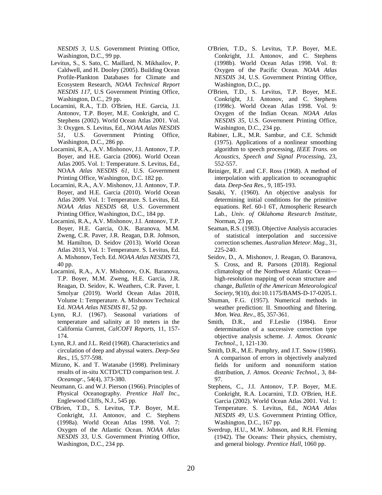*NESDIS 3*, U.S. Government Printing Office, Washington, D.C., 99 pp.

- Levitus, S., S. Sato, C. Maillard, N. Mikhailov, P. Caldwell, and H. Dooley (2005). Building Ocean Profile-Plankton Databases for Climate and Ecosystem Research, *NOAA Technical Report NESDIS 117*, U.S Government Printing Office, Washington, D.C., 29 pp.
- Locarnini, R.A., T.D. O'Brien, H.E. Garcia, J.I. Antonov, T.P. Boyer, M.E. Conkright, and C. Stephens (2002). World Ocean Atlas 2001. Vol. 3: Oxygen. S. Levitus, Ed., *NOAA Atlas NESDIS 51*, U.S. Government Printing Office, Washington, D.C., 286 pp.
- Locarnini, R.A., A.V. Mishonov, J.I. Antonov, T.P. Boyer, and H.E. Garcia (2006). World Ocean Atlas 2005. Vol. 1: Temperature. S. Levitus, Ed., NOAA *Atlas NESDIS 61*, U.S. Government Printing Office, Washington, D.C. 182 pp.
- Locarnini, R.A., A.V. Mishonov, J.I. Antonov, T.P. Boyer, and H.E. Garcia (2010). World Ocean Atlas 2009. Vol. 1: Temperature. S. Levitus, Ed. *NOAA Atlas NESDIS 68*, U.S. Government Printing Office, Washington, D.C., 184 pp.
- Locarnini, R.A., A.V. Mishonov, J.I. Antonov, T.P. Boyer, H.E. Garcia, O.K. Baranova, M.M. Zweng, C.R. Paver, J.R. Reagan, D.R. Johnson, M. Hamilton, D. Seidov (2013). World Ocean Atlas 2013, Vol. 1: Temperature. S. Levitus, Ed. A. Mishonov, Tech. Ed. *NOAA Atlas NESDIS 73*, 40 pp.
- Locarnini, R.A., A.V. Mishonov, O.K. Baranova, T.P. Boyer, M.M. Zweng, H.E. Garcia, J.R. Reagan, D. Seidov, K. Weathers, C.R. Paver, I. Smolyar (2019). World Ocean Atlas 2018, Volume 1: Temperature. A. Mishonov Technical Ed. *NOAA Atlas NESDIS 81*, 52 pp.
- Lynn, R.J. (1967). Seasonal variations of temperature and salinity at 10 meters in the California Current, *CalCOFI Reports*, 11, 157- 174.
- Lynn, R.J. and J.L. Reid (1968). Characteristics and circulation of deep and abyssal waters. *Deep-Sea Res.*, 15, 577-598.
- Mizuno, K. and T. Watanabe (1998). Preliminary results of in-situ XCTD/CTD comparison test. *J. Oceanogr.*, 54(4), 373-380.
- Neumann, G. and W.J. Pierson (1966). Principles of Physical Oceanography. *Prentice Hall Inc*., Englewood Cliffs, N.J., 545 pp.
- O'Brien, T.D., S. Levitus, T.P. Boyer, M.E. Conkright, J.I. Antonov, and C. Stephens (1998a). World Ocean Atlas 1998. Vol. 7: Oxygen of the Atlantic Ocean. *NOAA Atlas NESDIS 33*, U.S. Government Printing Office, Washington, D.C., 234 pp.
- O'Brien, T.D., S. Levitus, T.P. Boyer, M.E. Conkright, J.I. Antonov, and C. Stephens (1998b). World Ocean Atlas 1998. Vol. 8: Oxygen of the Pacific Ocean. *NOAA Atlas NESDIS 34*, U.S. Government Printing Office, Washington, D.C., pp.
- O'Brien, T.D., S. Levitus, T.P. Boyer, M.E. Conkright, J.I. Antonov, and C. Stephens (1998c). World Ocean Atlas 1998. Vol. 9: Oxygen of the Indian Ocean. *NOAA Atlas NESDIS 35*, U.S. Government Printing Office, Washington, D.C., 234 pp.
- Rabiner, L.R., M.R. Sambur, and C.E. Schmidt (1975). Applications of a nonlinear smoothing algorithm to speech processing*, IEEE Trans. on Acoustics, Speech and Signal Processing*, 23, 552-557.
- Reiniger, R.F. and C.F. Ross (1968). A method of interpolation with application to oceanographic data. *Deep-Sea Res.*, 9, 185-193.
- Sasaki, Y. (1960). An objective analysis for determining initial conditions for the primitive equations. Ref. 60-1 6T, Atmospheric Research Lab., *Univ. of Oklahoma Research Institute*, Norman, 23 pp.
- Seaman, R.S. (1983). Objective Analysis accuracies of statistical interpolation and successive correction schemes. *Australian Meteor. Mag.*, 31, 225-240.
- Seidov, D., A. Mishonov, J. Reagan, O. Baranova, S. Cross, and R. Parsons (2018). Regional climatology of the Northwest Atlantic Ocean high-resolution mapping of ocean structure and change, *Bulletin of the American Meteorological Society*, 9(10), doi:10.1175/BAMS-D-17-0205.1.
- Shuman, F.G. (1957). Numerical methods in weather prediction: II. Smoothing and filtering. *Mon. Wea. Rev.*, 85, 357-361.
- Smith, D.R., and F.Leslie (1984). Error determination of a successive correction type objective analysis scheme. *J. Atmos. Oceanic Technol.*, 1, 121-130.
- Smith, D.R., M.E. Pumphry, and J.T. Snow (1986). A comparison of errors in objectively analyzed fields for uniform and nonuniform station distribution, *J. Atmos. Oceanic Technol.*, 3, 84- 97.
- Stephens, C., J.I. Antonov, T.P. Boyer, M.E. Conkright, R.A. Locarnini, T.D. O'Brien, H.E. Garcia (2002). World Ocean Atlas 2001. Vol. 1: Temperature. S. Levitus, Ed., *NOAA Atlas NESDIS 49*, U.S. Government Printing Office, Washington, D.C., 167 pp.
- Sverdrup, H.U., M.W. Johnson, and R.H. Fleming (1942). The Oceans: Their physics, chemistry, and general biology*. Prentice Hall*, 1060 pp.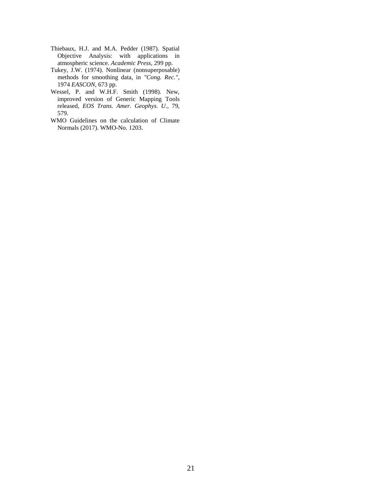- Thiebaux, H.J. and M.A. Pedder (1987). Spatial Objective Analysis: with applications in atmospheric science. *Academic Press*, 299 pp.
- Tukey, J.W. (1974). Nonlinear (nonsuperposable) methods for smoothing data, in *"Cong. Rec."*, 1974 *EASCON*, 673 pp.
- Wessel, P. and W.H.F. Smith (1998). New, improved version of Generic Mapping Tools released, *EOS Trans. Amer. Geophys. U.*, 79, 579.
- WMO Guidelines on the calculation of Climate Normals (2017). WMO-No. 1203.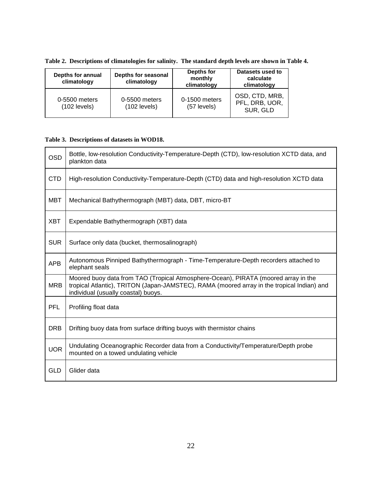| Depths for annual<br>Depths for seasonal<br>climatology<br>climatology |                                 | Depths for<br>monthly<br>climatology | Datasets used to<br>calculate<br>climatology |
|------------------------------------------------------------------------|---------------------------------|--------------------------------------|----------------------------------------------|
| 0-5500 meters<br>$(102$ levels)                                        | 0-5500 meters<br>$(102$ levels) | 0-1500 meters<br>(57 levels)         | OSD, CTD, MRB,<br>PFL, DRB, UOR,<br>SUR, GLD |

**Table 2. Descriptions of climatologies for salinity. The standard depth levels are shown in Table 4.**

#### **Table 3. Descriptions of datasets in WOD18.**

| <b>OSD</b> | Bottle, Iow-resolution Conductivity-Temperature-Depth (CTD), Iow-resolution XCTD data, and<br>plankton data                                                                                                             |
|------------|-------------------------------------------------------------------------------------------------------------------------------------------------------------------------------------------------------------------------|
| <b>CTD</b> | High-resolution Conductivity-Temperature-Depth (CTD) data and high-resolution XCTD data                                                                                                                                 |
| <b>MBT</b> | Mechanical Bathythermograph (MBT) data, DBT, micro-BT                                                                                                                                                                   |
| <b>XBT</b> | Expendable Bathythermograph (XBT) data                                                                                                                                                                                  |
| <b>SUR</b> | Surface only data (bucket, thermosalinograph)                                                                                                                                                                           |
| <b>APB</b> | Autonomous Pinniped Bathythermograph - Time-Temperature-Depth recorders attached to<br>elephant seals                                                                                                                   |
| <b>MRB</b> | Moored buoy data from TAO (Tropical Atmosphere-Ocean), PIRATA (moored array in the<br>tropical Atlantic), TRITON (Japan-JAMSTEC), RAMA (moored array in the tropical Indian) and<br>individual (usually coastal) buoys. |
| <b>PFL</b> | Profiling float data                                                                                                                                                                                                    |
| <b>DRB</b> | Drifting buoy data from surface drifting buoys with thermistor chains                                                                                                                                                   |
| <b>UOR</b> | Undulating Oceanographic Recorder data from a Conductivity/Temperature/Depth probe<br>mounted on a towed undulating vehicle                                                                                             |
| <b>GLD</b> | Glider data                                                                                                                                                                                                             |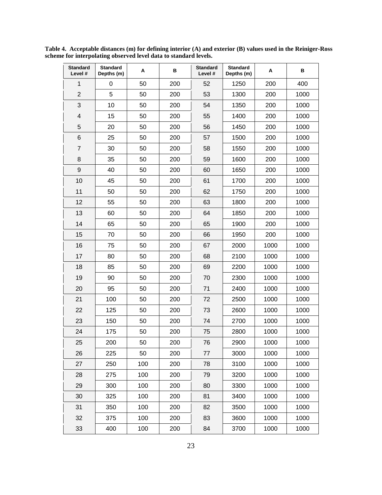| <b>Standard</b><br>Level # | <b>Standard</b><br>Depths (m) | Α   | в   | <b>Standard</b><br>Level # | <b>Standard</b><br>Depths (m) | A    | в    |
|----------------------------|-------------------------------|-----|-----|----------------------------|-------------------------------|------|------|
| 1                          | 0                             | 50  | 200 | 52                         | 1250                          | 200  | 400  |
| $\overline{2}$             | 5                             | 50  | 200 | 53                         | 1300                          | 200  | 1000 |
| 3                          | 10                            | 50  | 200 | 54                         | 1350                          | 200  | 1000 |
| 4                          | 15                            | 50  | 200 | 55                         | 1400                          | 200  | 1000 |
| 5                          | 20                            | 50  | 200 | 56                         | 1450                          | 200  | 1000 |
| 6                          | 25                            | 50  | 200 | 57                         | 1500                          | 200  | 1000 |
| $\overline{7}$             | 30                            | 50  | 200 | 58                         | 1550                          | 200  | 1000 |
| 8                          | 35                            | 50  | 200 | 59                         | 1600                          | 200  | 1000 |
| 9                          | 40                            | 50  | 200 | 60                         | 1650                          | 200  | 1000 |
| 10                         | 45                            | 50  | 200 | 61                         | 1700                          | 200  | 1000 |
| 11                         | 50                            | 50  | 200 | 62                         | 1750                          | 200  | 1000 |
| 12                         | 55                            | 50  | 200 | 63                         | 1800                          | 200  | 1000 |
| 13                         | 60                            | 50  | 200 | 64                         | 1850                          | 200  | 1000 |
| 14                         | 65                            | 50  | 200 | 65                         | 1900                          | 200  | 1000 |
| 15                         | 70                            | 50  | 200 | 66                         | 1950                          | 200  | 1000 |
| 16                         | 75                            | 50  | 200 | 67                         | 2000                          | 1000 | 1000 |
| 17                         | 80                            | 50  | 200 | 68                         | 2100                          | 1000 | 1000 |
| 18                         | 85                            | 50  | 200 | 69                         | 2200                          | 1000 | 1000 |
| 19                         | 90                            | 50  | 200 | 70                         | 2300                          | 1000 | 1000 |
| 20                         | 95                            | 50  | 200 | 71                         | 2400                          | 1000 | 1000 |
| 21                         | 100                           | 50  | 200 | 72                         | 2500                          | 1000 | 1000 |
| 22                         | 125                           | 50  | 200 | 73                         | 2600                          | 1000 | 1000 |
| 23                         | 150                           | 50  | 200 | 74                         | 2700                          | 1000 | 1000 |
| 24                         | 175                           | 50  | 200 | 75                         | 2800                          | 1000 | 1000 |
| 25                         | 200                           | 50  | 200 | 76                         | 2900                          | 1000 | 1000 |
| 26                         | 225                           | 50  | 200 | 77                         | 3000                          | 1000 | 1000 |
| 27                         | 250                           | 100 | 200 | 78                         | 3100                          | 1000 | 1000 |
| 28                         | 275                           | 100 | 200 | 79                         | 3200                          | 1000 | 1000 |
| 29                         | 300                           | 100 | 200 | 80                         | 3300                          | 1000 | 1000 |
| 30                         | 325                           | 100 | 200 | 81                         | 3400                          | 1000 | 1000 |
| 31                         | 350                           | 100 | 200 | 82                         | 3500                          | 1000 | 1000 |
| 32                         | 375                           | 100 | 200 | 83                         | 3600                          | 1000 | 1000 |
| 33                         | 400                           | 100 | 200 | 84                         | 3700                          | 1000 | 1000 |

**Table 4. Acceptable distances (m) for defining interior (A) and exterior (B) values used in the Reiniger-Ross scheme for interpolating observed level data to standard levels.**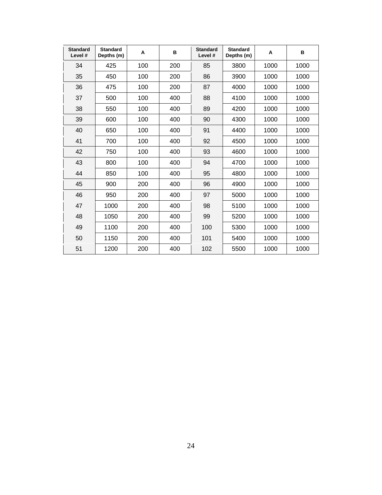| <b>Standard</b><br>Level # | <b>Standard</b><br>Depths (m) | A   | B   | <b>Standard</b><br>Level # | <b>Standard</b><br>Depths (m) | A    | в    |
|----------------------------|-------------------------------|-----|-----|----------------------------|-------------------------------|------|------|
| 34                         | 425                           | 100 | 200 | 85                         | 3800                          | 1000 | 1000 |
| 35                         | 450                           | 100 | 200 | 86                         | 3900                          | 1000 | 1000 |
| 36                         | 475                           | 100 | 200 | 87                         | 4000                          | 1000 | 1000 |
| 37                         | 500                           | 100 | 400 | 88                         | 4100                          | 1000 | 1000 |
| 38                         | 550                           | 100 | 400 | 89                         | 4200                          | 1000 | 1000 |
| 39                         | 600                           | 100 | 400 | 90                         | 4300                          | 1000 | 1000 |
| 40                         | 650                           | 100 | 400 | 91                         | 4400                          | 1000 | 1000 |
| 41                         | 700                           | 100 | 400 | 92                         | 4500                          | 1000 | 1000 |
| 42                         | 750                           | 100 | 400 | 93                         | 4600                          | 1000 | 1000 |
| 43                         | 800                           | 100 | 400 | 94                         | 4700                          | 1000 | 1000 |
| 44                         | 850                           | 100 | 400 | 95                         | 4800                          | 1000 | 1000 |
| 45                         | 900                           | 200 | 400 | 96                         | 4900                          | 1000 | 1000 |
| 46                         | 950                           | 200 | 400 | 97                         | 5000                          | 1000 | 1000 |
| 47                         | 1000                          | 200 | 400 | 98                         | 5100                          | 1000 | 1000 |
| 48                         | 1050                          | 200 | 400 | 99                         | 5200                          | 1000 | 1000 |
| 49                         | 1100                          | 200 | 400 | 100                        | 5300                          | 1000 | 1000 |
| 50                         | 1150                          | 200 | 400 | 101                        | 5400                          | 1000 | 1000 |
| 51                         | 1200                          | 200 | 400 | 102                        | 5500                          | 1000 | 1000 |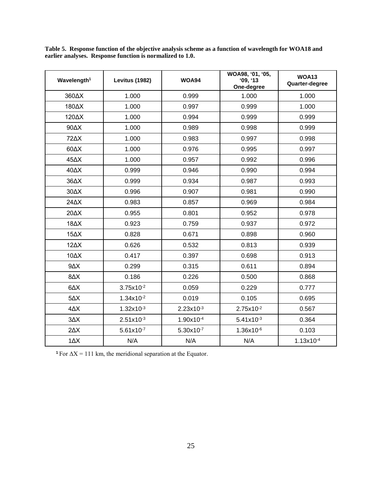| Wavelength <sup>1</sup> | <b>Levitus (1982)</b> | <b>WOA94</b>   | WOA98, '01, '05,<br>'09, '13<br>One-degree | <b>WOA13</b><br>Quarter-degree |
|-------------------------|-----------------------|----------------|--------------------------------------------|--------------------------------|
| 360AX                   | 1.000                 | 0.999          | 1.000                                      | 1.000                          |
| 180AX                   | 1.000                 | 0.997          | 0.999                                      | 1.000                          |
| 120AX                   | 1.000                 | 0.994          | 0.999                                      | 0.999                          |
| $90\Delta X$            | 1.000                 | 0.989          | 0.998                                      | 0.999                          |
| <b>72AX</b>             | 1.000                 | 0.983          | 0.997                                      | 0.998                          |
| $60\Delta X$            | 1.000                 | 0.976          | 0.995                                      | 0.997                          |
| 45 AX                   | 1.000                 | 0.957          | 0.992                                      | 0.996                          |
| 40 $\Delta$ X           | 0.999                 | 0.946          | 0.990                                      | 0.994                          |
| $36\Delta X$            | 0.999                 | 0.934          | 0.987                                      | 0.993                          |
| $30\Delta X$            | 0.996                 | 0.907          | 0.981                                      | 0.990                          |
| $24\Delta X$            | 0.983                 | 0.857          | 0.969                                      | 0.984                          |
| 20 $\Delta$ X           | 0.955                 | 0.801          | 0.952                                      | 0.978                          |
| 18 $\Delta$ X           | 0.923                 | 0.759          | 0.937                                      | 0.972                          |
| $15\Delta X$            | 0.828                 | 0.671          | 0.898                                      | 0.960                          |
| $12\Delta X$            | 0.626                 | 0.532          | 0.813                                      | 0.939                          |
| 10AX                    | 0.417                 | 0.397          | 0.698                                      | 0.913                          |
| $9\Delta X$             | 0.299                 | 0.315          | 0.611                                      | 0.894                          |
| $8\Delta X$             | 0.186                 | 0.226          | 0.500                                      | 0.868                          |
| $6\Delta X$             | $3.75x10^{-2}$        | 0.059          | 0.229                                      | 0.777                          |
| $5\Delta X$             | $1.34x10^{-2}$        | 0.019          | 0.105                                      | 0.695                          |
| $4\Delta X$             | $1.32x10^{-3}$        | $2.23x10^{-3}$ | $2.75x10^{-2}$                             | 0.567                          |
| $3\Delta X$             | $2.51x10^{-3}$        | 1.90x10-4      | $5.41x10^{-3}$                             | 0.364                          |
| $2\Delta X$             | $5.61x10^{-7}$        | $5.30x10^{-7}$ | $1.36x10^{-6}$                             | 0.103                          |
| $1\Delta X$             | N/A                   | N/A            | N/A                                        | $1.13x10^{-4}$                 |

**Table 5. Response function of the objective analysis scheme as a function of wavelength for WOA18 and earlier analyses. Response function is normalized to 1.0.**

<sup>1</sup> For  $\Delta X$  = 111 km, the meridional separation at the Equator.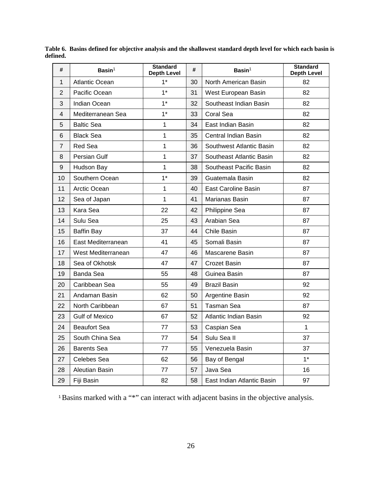| #              | $Basin1$              | <b>Standard</b><br><b>Depth Level</b> | #  | $Basin1$                     | <b>Standard</b><br><b>Depth Level</b> |
|----------------|-----------------------|---------------------------------------|----|------------------------------|---------------------------------------|
| 1              | <b>Atlantic Ocean</b> | $1*$                                  | 30 | North American Basin         | 82                                    |
| 2              | Pacific Ocean         | $1*$                                  | 31 | West European Basin          | 82                                    |
| 3              | Indian Ocean          | $1*$                                  | 32 | Southeast Indian Basin       | 82                                    |
| 4              | Mediterranean Sea     | $1*$                                  | 33 | Coral Sea                    | 82                                    |
| 5              | <b>Baltic Sea</b>     | 1                                     | 34 | East Indian Basin            | 82                                    |
| 6              | <b>Black Sea</b>      | 1                                     | 35 | Central Indian Basin         | 82                                    |
| $\overline{7}$ | Red Sea               | 1                                     | 36 | Southwest Atlantic Basin     | 82                                    |
| 8              | Persian Gulf          | 1                                     | 37 | Southeast Atlantic Basin     | 82                                    |
| 9              | Hudson Bay            | 1                                     | 38 | Southeast Pacific Basin      | 82                                    |
| 10             | Southern Ocean        | $1*$                                  | 39 | Guatemala Basin              | 82                                    |
| 11             | Arctic Ocean          | $\mathbf 1$                           | 40 | East Caroline Basin          | 87                                    |
| 12             | Sea of Japan          | $\mathbf{1}$                          | 41 | Marianas Basin               | 87                                    |
| 13             | Kara Sea              | 22                                    | 42 | Philippine Sea               | 87                                    |
| 14             | Sulu Sea              | 25                                    | 43 | Arabian Sea                  | 87                                    |
| 15             | <b>Baffin Bay</b>     | 37                                    | 44 | Chile Basin                  | 87                                    |
| 16             | East Mediterranean    | 41                                    | 45 | Somali Basin                 | 87                                    |
| 17             | West Mediterranean    | 47                                    | 46 | Mascarene Basin              | 87                                    |
| 18             | Sea of Okhotsk        | 47                                    | 47 | Crozet Basin                 | 87                                    |
| 19             | Banda Sea             | 55                                    | 48 | Guinea Basin                 | 87                                    |
| 20             | Caribbean Sea         | 55                                    | 49 | <b>Brazil Basin</b>          | 92                                    |
| 21             | Andaman Basin         | 62                                    | 50 | Argentine Basin              | 92                                    |
| 22             | North Caribbean       | 67                                    | 51 | <b>Tasman Sea</b>            | 87                                    |
| 23             | <b>Gulf of Mexico</b> | 67                                    | 52 | <b>Atlantic Indian Basin</b> | 92                                    |
| 24             | <b>Beaufort Sea</b>   | 77                                    | 53 | Caspian Sea                  | $\mathbf 1$                           |
| 25             | South China Sea       | 77                                    | 54 | Sulu Sea II                  | 37                                    |
| 26             | <b>Barents Sea</b>    | 77                                    | 55 | Venezuela Basin              | 37                                    |
| 27             | Celebes Sea           | 62                                    | 56 | Bay of Bengal                | $1*$                                  |
| 28             | Aleutian Basin        | 77                                    | 57 | Java Sea                     | 16                                    |
| 29             | Fiji Basin            | 82                                    | 58 | East Indian Atlantic Basin   | 97                                    |

**Table 6. Basins defined for objective analysis and the shallowest standard depth level for which each basin is defined.**

Basins marked with a "\*" can interact with adjacent basins in the objective analysis.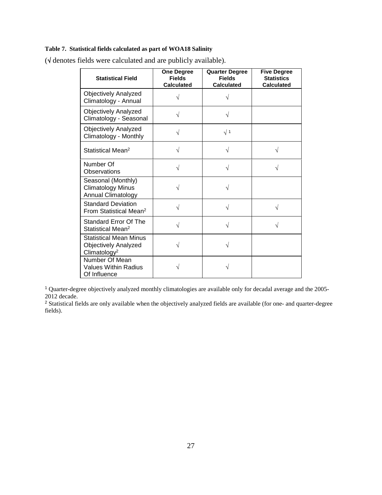#### **Table 7. Statistical fields calculated as part of WOA18 Salinity**

| <b>Statistical Field</b>                                                                 | <b>One Degree</b><br><b>Fields</b><br><b>Calculated</b> | <b>Quarter Degree</b><br><b>Fields</b><br><b>Calculated</b> | <b>Five Degree</b><br><b>Statistics</b><br><b>Calculated</b> |
|------------------------------------------------------------------------------------------|---------------------------------------------------------|-------------------------------------------------------------|--------------------------------------------------------------|
| <b>Objectively Analyzed</b><br>Climatology - Annual                                      |                                                         |                                                             |                                                              |
| <b>Objectively Analyzed</b><br>Climatology - Seasonal                                    |                                                         | V                                                           |                                                              |
| <b>Objectively Analyzed</b><br>Climatology - Monthly                                     |                                                         | $\sqrt{1}$                                                  |                                                              |
| Statistical Mean <sup>2</sup>                                                            |                                                         | ٦Ι                                                          |                                                              |
| Number Of<br>Observations                                                                |                                                         |                                                             |                                                              |
| Seasonal (Monthly)<br><b>Climatology Minus</b><br><b>Annual Climatology</b>              |                                                         |                                                             |                                                              |
| <b>Standard Deviation</b><br>From Statistical Mean <sup>2</sup>                          |                                                         |                                                             |                                                              |
| <b>Standard Error Of The</b><br>Statistical Mean <sup>2</sup>                            |                                                         |                                                             |                                                              |
| <b>Statistical Mean Minus</b><br><b>Objectively Analyzed</b><br>Climatology <sup>2</sup> |                                                         |                                                             |                                                              |
| Number Of Mean<br><b>Values Within Radius</b><br>Of Influence                            |                                                         |                                                             |                                                              |

(√ denotes fields were calculated and are publicly available).

<sup>1</sup> Quarter-degree objectively analyzed monthly climatologies are available only for decadal average and the 2005- 2012 decade.

<sup>2</sup> Statistical fields are only available when the objectively analyzed fields are available (for one- and quarter-degree fields).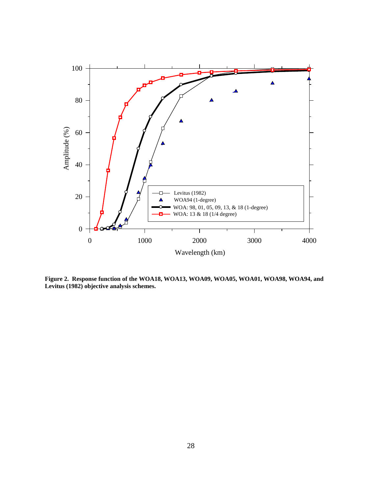

**Figure 2. Response function of the WOA18, WOA13, WOA09, WOA05, WOA01, WOA98, WOA94, and Levitus (1982) objective analysis schemes.**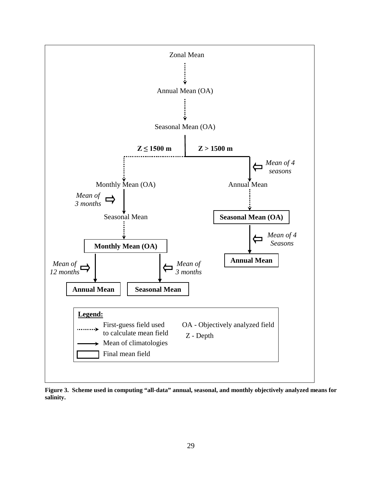

**Figure 3. Scheme used in computing "all-data" annual, seasonal, and monthly objectively analyzed means for salinity.**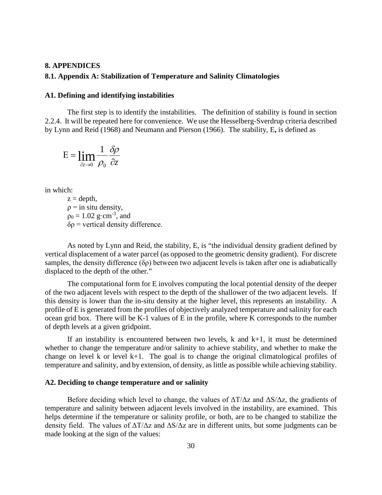#### **8. APPENDICES**

#### **8.1. Appendix A: Stabilization of Temperature and Salinity Climatologies**

#### **A1. Defining and identifying instabilities**

The first step is to identify the instabilities. The definition of stability is found in section 2.2.4. It will be repeated here for convenience. We use the Hesselberg-Sverdrup criteria described by Lynn and Reid (1968) and Neumann and Pierson (1966). The stability, E**,** is defined as

$$
E = \lim_{\partial z \to 0} \frac{1}{\rho_0} \frac{\partial \rho}{\partial z}
$$

in which:

 $z = depth$ ,  $\rho$  = in situ density,  $p_0 = 1.02$  g·cm<sup>-3</sup>, and  $\delta \rho$  = vertical density difference.

As noted by Lynn and Reid, the stability, E, is "the individual density gradient defined by vertical displacement of a water parcel (as opposed to the geometric density gradient). For discrete samples, the density difference  $(\delta \rho)$  between two adjacent levels is taken after one is adiabatically displaced to the depth of the other."

The computational form for E involves computing the local potential density of the deeper of the two adjacent levels with respect to the depth of the shallower of the two adjacent levels. If this density is lower than the in-situ density at the higher level, this represents an instability. A profile of E is generated from the profiles of objectively analyzed temperature and salinity for each ocean grid box. There will be K-1 values of E in the profile, where K corresponds to the number of depth levels at a given gridpoint.

If an instability is encountered between two levels, k and k+1, it must be determined whether to change the temperature and/or salinity to achieve stability, and whether to make the change on level k or level  $k+1$ . The goal is to change the original climatological profiles of temperature and salinity, and by extension, of density, as little as possible while achieving stability.

#### **A2. Deciding to change temperature and or salinity**

Before deciding which level to change, the values of  $\Delta T/\Delta z$  and  $\Delta S/\Delta z$ , the gradients of temperature and salinity between adjacent levels involved in the instability, are examined. This helps determine if the temperature or salinity profile, or both, are to be changed to stabilize the density field. The values of  $\Delta T/\Delta z$  and  $\Delta S/\Delta z$  are in different units, but some judgments can be made looking at the sign of the values: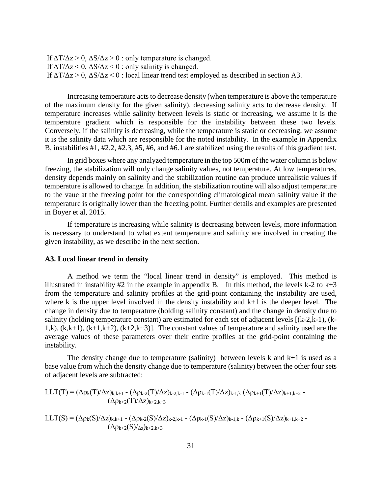If  $\Delta T/\Delta z > 0$ ,  $\Delta S/\Delta z > 0$ : only temperature is changed. If  $\Delta T/\Delta z$  < 0,  $\Delta S/\Delta z$  < 0 : only salinity is changed. If  $\Delta T/\Delta z > 0$ ,  $\Delta S/\Delta z < 0$ : local linear trend test employed as described in section A3.

Increasing temperature acts to decrease density (when temperature is above the temperature of the maximum density for the given salinity), decreasing salinity acts to decrease density. If temperature increases while salinity between levels is static or increasing, we assume it is the temperature gradient which is responsible for the instability between these two levels. Conversely, if the salinity is decreasing, while the temperature is static or decreasing, we assume it is the salinity data which are responsible for the noted instability. In the example in Appendix B, instabilities #1, #2.2, #2.3, #5, #6, and #6.1 are stabilized using the results of this gradient test.

In grid boxes where any analyzed temperature in the top 500m of the water column is below freezing, the stabilization will only change salinity values, not temperature. At low temperatures, density depends mainly on salinity and the stabilization routine can produce unrealistic values if temperature is allowed to change. In addition, the stabilization routine will also adjust temperature to the vaue at the freezing point for the corresponding climatological mean salinity value if the temperature is originally lower than the freezing point. Further details and examples are presented in Boyer et al, 2015.

If temperature is increasing while salinity is decreasing between levels, more information is necessary to understand to what extent temperature and salinity are involved in creating the given instability, as we describe in the next section.

#### **A3. Local linear trend in density**

A method we term the "local linear trend in density" is employed. This method is illustrated in instability  $#2$  in the example in appendix B. In this method, the levels k-2 to k+3 from the temperature and salinity profiles at the grid-point containing the instability are used, where k is the upper level involved in the density instability and  $k+1$  is the deeper level. The change in density due to temperature (holding salinity constant) and the change in density due to salinity (holding temperature constant) are estimated for each set of adjacent levels [(k-2,k-1), (k-1,k),  $(k, k+1)$ ,  $(k+1, k+2)$ ,  $(k+2, k+3)$ ]. The constant values of temperature and salinity used are the average values of these parameters over their entire profiles at the grid-point containing the instability.

The density change due to temperature (salinity) between levels  $k$  and  $k+1$  is used as a base value from which the density change due to temperature (salinity) between the other four sets of adjacent levels are subtracted:

$$
LLT(T)=(\Delta \rho_k(T)/\Delta z)_{k,k+1}-(\Delta \rho_{k-2}(T)/\Delta z)_{k-2,k-1}-(\Delta \rho_{k-1}(T)/\Delta z)_{k-1,k}(\Delta \rho_{k+1}(T)/\Delta z)_{k+1,k+2}-(\Delta \rho_{k+2}(T)/\Delta z)_{k+2,k+3}
$$

$$
LLT(S) = (\Delta \rho_k(S)/\Delta z)_{k,k+1} - (\Delta \rho_{k-2}(S)/\Delta z)_{k-2,k-1} - (\Delta \rho_{k-1}(S)/\Delta z)_{k-1,k} - (\Delta \rho_{k+1}(S)/\Delta z)_{k+1,k+2} - (\Delta \rho_{k+2}(S)/\Delta z)_{k+2,k+3}
$$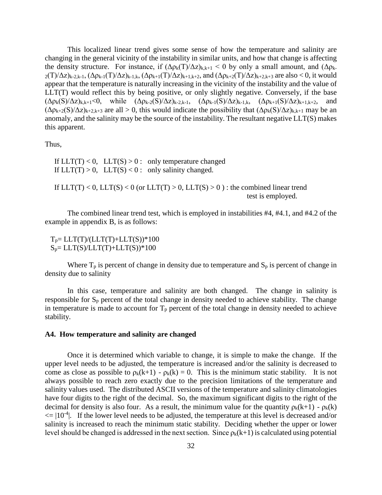This localized linear trend gives some sense of how the temperature and salinity are changing in the general vicinity of the instability in similar units, and how that change is affecting the density structure. For instance, if  $(\Delta \rho_k(T)/\Delta z)_{k,k+1} < 0$  by only a small amount, and  $(\Delta \rho_k$ - $2(T)/\Delta z$ )<sub>k-2,k-1</sub>,  $(\Delta \rho_{k-1}(T)/\Delta z)_{k-1,k}$ ,  $(\Delta \rho_{k+1}(T)/\Delta z)_{k+1,k+2}$ , and  $(\Delta \rho_{k+2}(T)/\Delta z)_{k+2,k+3}$  are also < 0, it would appear that the temperature is naturally increasing in the vicinity of the instability and the value of LLT(T) would reflect this by being positive, or only slightly negative. Conversely, if the base  $(\Delta \rho_k(S)/\Delta z)_{k,k+1}$ <0, while  $(\Delta \rho_{k-2}(S)/\Delta z)_{k-2,k-1}$ ,  $(\Delta \rho_{k-1}(S)/\Delta z)_{k-1,k}$ ,  $(\Delta \rho_{k+1}(S)/\Delta z)_{k+1,k+2}$ , and  $(\Delta \rho_{k+2}(S)/\Delta z)_{k+2,k+3}$  are all  $> 0$ , this would indicate the possibility that  $(\Delta \rho_k(S)/\Delta z)_{k,k+1}$  may be an anomaly, and the salinity may be the source of the instability. The resultant negative LLT(S) makes this apparent.

Thus,

If  $LLT(T) < 0$ ,  $LLT(S) > 0$ : only temperature changed If  $LLT(T) > 0$ ,  $LLT(S) < 0$ : only salinity changed. If  $LLT(T) < 0$ ,  $LLT(S) < 0$  (or  $LLT(T) > 0$ ,  $LLT(S) > 0$ ) : the combined linear trend test is employed.

The combined linear trend test, which is employed in instabilities #4, #4.1, and #4.2 of the example in appendix B, is as follows:

 $T_p = LLT(T)/(LLT(T)+LLT(S))^*100$  $S_p = LLT(S)/LLT(T)+LLT(S))^*100$ 

Where  $T_p$  is percent of change in density due to temperature and  $S_p$  is percent of change in density due to salinity

In this case, temperature and salinity are both changed. The change in salinity is responsible for  $S_p$  percent of the total change in density needed to achieve stability. The change in temperature is made to account for  $T_p$  percent of the total change in density needed to achieve stability.

#### **A4. How temperature and salinity are changed**

Once it is determined which variable to change, it is simple to make the change. If the upper level needs to be adjusted, the temperature is increased and/or the salinity is decreased to come as close as possible to  $\rho_k(k+1) - \rho_k(k) = 0$ . This is the minimum static stability. It is not always possible to reach zero exactly due to the precision limitations of the temperature and salinity values used. The distributed ASCII versions of the temperature and salinity climatologies have four digits to the right of the decimal. So, the maximum significant digits to the right of the decimal for density is also four. As a result, the minimum value for the quantity  $\rho_k(k+1) - \rho_k(k)$  $\ll$  |10<sup>-4</sup>|. If the lower level needs to be adjusted, the temperature at this level is decreased and/or salinity is increased to reach the minimum static stability. Deciding whether the upper or lower level should be changed is addressed in the next section. Since  $\rho_k(k+1)$  is calculated using potential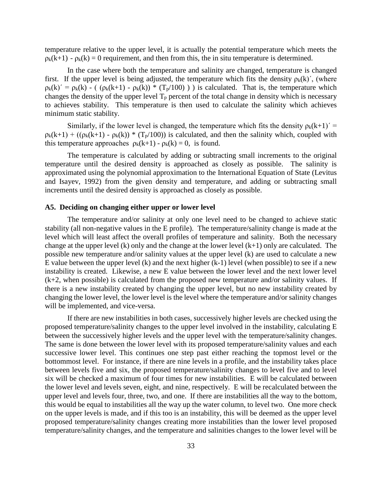temperature relative to the upper level, it is actually the potential temperature which meets the  $p_k(k+1)$  -  $p_k(k) = 0$  requirement, and then from this, the in situ temperature is determined.

In the case where both the temperature and salinity are changed, temperature is changed first. If the upper level is being adjusted, the temperature which fits the density  $\rho_k(k)$ ', (where  $\rho_k(k) = \rho_k(k) - ( (\rho_k(k+1) - \rho_k(k)) * (T_p/100) )$  is calculated. That is, the temperature which changes the density of the upper level  $T_p$  percent of the total change in density which is necessary to achieves stability. This temperature is then used to calculate the salinity which achieves minimum static stability.

Similarly, if the lower level is changed, the temperature which fits the density  $\rho_k(k+1)'$  =  $\rho_k(k+1)$  + (( $\rho_k(k+1)$  -  $\rho_k(k)$ ) \* (T<sub>p</sub>/100)) is calculated, and then the salinity which, coupled with this temperature approaches  $\rho_k(k+1) - \rho_k(k) = 0$ , is found.

The temperature is calculated by adding or subtracting small increments to the original temperature until the desired density is approached as closely as possible. The salinity is approximated using the polynomial approximation to the International Equation of State (Levitus and Isayev, 1992) from the given density and temperature, and adding or subtracting small increments until the desired density is approached as closely as possible.

#### **A5. Deciding on changing either upper or lower level**

The temperature and/or salinity at only one level need to be changed to achieve static stability (all non-negative values in the E profile). The temperature/salinity change is made at the level which will least affect the overall profiles of temperature and salinity. Both the necessary change at the upper level  $(k)$  only and the change at the lower level  $(k+1)$  only are calculated. The possible new temperature and/or salinity values at the upper level (k) are used to calculate a new E value between the upper level  $(k)$  and the next higher  $(k-1)$  level (when possible) to see if a new instability is created. Likewise, a new E value between the lower level and the next lower level  $(k+2,$  when possible) is calculated from the proposed new temperature and/or salinity values. If there is a new instability created by changing the upper level, but no new instability created by changing the lower level, the lower level is the level where the temperature and/or salinity changes will be implemented, and vice-versa.

If there are new instabilities in both cases, successively higher levels are checked using the proposed temperature/salinity changes to the upper level involved in the instability, calculating E between the successively higher levels and the upper level with the temperature/salinity changes. The same is done between the lower level with its proposed temperature/salinity values and each successive lower level. This continues one step past either reaching the topmost level or the bottommost level. For instance, if there are nine levels in a profile, and the instability takes place between levels five and six, the proposed temperature/salinity changes to level five and to level six will be checked a maximum of four times for new instabilities. E will be calculated between the lower level and levels seven, eight, and nine, respectively. E will be recalculated between the upper level and levels four, three, two, and one. If there are instabilities all the way to the bottom, this would be equal to instabilities all the way up the water column, to level two. One more check on the upper levels is made, and if this too is an instability, this will be deemed as the upper level proposed temperature/salinity changes creating more instabilities than the lower level proposed temperature/salinity changes, and the temperature and salinities changes to the lower level will be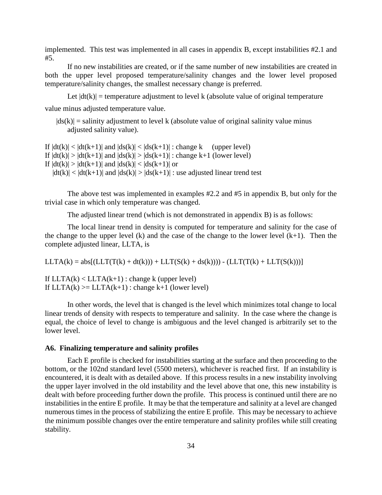implemented. This test was implemented in all cases in appendix B, except instabilities #2.1 and #5.

If no new instabilities are created, or if the same number of new instabilities are created in both the upper level proposed temperature/salinity changes and the lower level proposed temperature/salinity changes, the smallest necessary change is preferred.

Let  $|dt(k)|$  = temperature adjustment to level k (absolute value of original temperature value minus adjusted temperature value.

 $|ds(k)|$  = salinity adjustment to level k (absolute value of original salinity value minus adjusted salinity value).

If  $|dt(k)| < |dt(k+1)|$  and  $|ds(k)| < |ds(k+1)|$  : change k (upper level) If  $|dt(k)| > |dt(k+1)|$  and  $|ds(k)| > |ds(k+1)|$ : change k+1 (lower level) If  $|dt(k)| > |dt(k+1)|$  and  $|ds(k)| < |ds(k+1)|$  or  $|dt(k)| < |dt(k+1)|$  and  $|ds(k)| > |ds(k+1)|$ : use adjusted linear trend test

The above test was implemented in examples #2.2 and #5 in appendix B, but only for the trivial case in which only temperature was changed.

The adjusted linear trend (which is not demonstrated in appendix B) is as follows:

The local linear trend in density is computed for temperature and salinity for the case of the change to the upper level  $(k)$  and the case of the change to the lower level  $(k+1)$ . Then the complete adjusted linear, LLTA, is

 $LLTA(k) = abs[ (LLT(T(k) + dt(k))) + LLT(S(k) + ds(k)))) - (LLT(T(k) + LLT(S(k))))$ 

If  $LLTA(k) < LLTA(k+1)$ : change k (upper level) If  $LLTA(k) \geq LLTA(k+1)$ : change k+1 (lower level)

In other words, the level that is changed is the level which minimizes total change to local linear trends of density with respects to temperature and salinity. In the case where the change is equal, the choice of level to change is ambiguous and the level changed is arbitrarily set to the lower level.

#### **A6. Finalizing temperature and salinity profiles**

Each E profile is checked for instabilities starting at the surface and then proceeding to the bottom, or the 102nd standard level (5500 meters), whichever is reached first. If an instability is encountered, it is dealt with as detailed above. If this process results in a new instability involving the upper layer involved in the old instability and the level above that one, this new instability is dealt with before proceeding further down the profile. This process is continued until there are no instabilities in the entire E profile. It may be that the temperature and salinity at a level are changed numerous times in the process of stabilizing the entire E profile. This may be necessary to achieve the minimum possible changes over the entire temperature and salinity profiles while still creating stability.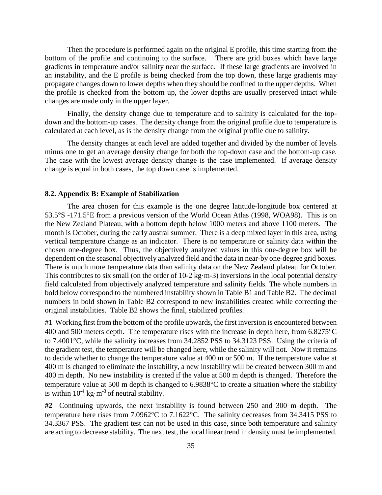Then the procedure is performed again on the original E profile, this time starting from the bottom of the profile and continuing to the surface. There are grid boxes which have large gradients in temperature and/or salinity near the surface. If these large gradients are involved in an instability, and the E profile is being checked from the top down, these large gradients may propagate changes down to lower depths when they should be confined to the upper depths. When the profile is checked from the bottom up, the lower depths are usually preserved intact while changes are made only in the upper layer.

Finally, the density change due to temperature and to salinity is calculated for the topdown and the bottom-up cases. The density change from the original profile due to temperature is calculated at each level, as is the density change from the original profile due to salinity.

The density changes at each level are added together and divided by the number of levels minus one to get an average density change for both the top-down case and the bottom-up case. The case with the lowest average density change is the case implemented. If average density change is equal in both cases, the top down case is implemented.

#### **8.2. Appendix B: Example of Stabilization**

The area chosen for this example is the one degree latitude-longitude box centered at 53.5°S -171.5°E from a previous version of the World Ocean Atlas (1998, WOA98). This is on the New Zealand Plateau, with a bottom depth below 1000 meters and above 1100 meters. The month is October, during the early austral summer. There is a deep mixed layer in this area, using vertical temperature change as an indicator. There is no temperature or salinity data within the chosen one-degree box. Thus, the objectively analyzed values in this one-degree box will be dependent on the seasonal objectively analyzed field and the data in near-by one-degree grid boxes. There is much more temperature data than salinity data on the New Zealand plateau for October. This contributes to six small (on the order of 10-2 kg·m-3) inversions in the local potential density field calculated from objectively analyzed temperature and salinity fields. The whole numbers in bold below correspond to the numbered instability shown in Table B1 and Table B2. The decimal numbers in bold shown in Table B2 correspond to new instabilities created while correcting the original instabilities. Table B2 shows the final, stabilized profiles.

#1 Working first from the bottom of the profile upwards, the first inversion is encountered between 400 and 500 meters depth. The temperature rises with the increase in depth here, from 6.8275°C to 7.4001°C, while the salinity increases from 34.2852 PSS to 34.3123 PSS. Using the criteria of the gradient test, the temperature will be changed here, while the salinity will not. Now it remains to decide whether to change the temperature value at 400 m or 500 m. If the temperature value at 400 m is changed to eliminate the instability, a new instability will be created between 300 m and 400 m depth. No new instability is created if the value at 500 m depth is changed. Therefore the temperature value at 500 m depth is changed to 6.9838°C to create a situation where the stability is within  $10^{-4}$  kg·m<sup>-3</sup> of neutral stability.

**#2** Continuing upwards, the next instability is found between 250 and 300 m depth. The temperature here rises from 7.0962°C to 7.1622°C. The salinity decreases from 34.3415 PSS to 34.3367 PSS. The gradient test can not be used in this case, since both temperature and salinity are acting to decrease stability. The next test, the local linear trend in density must be implemented.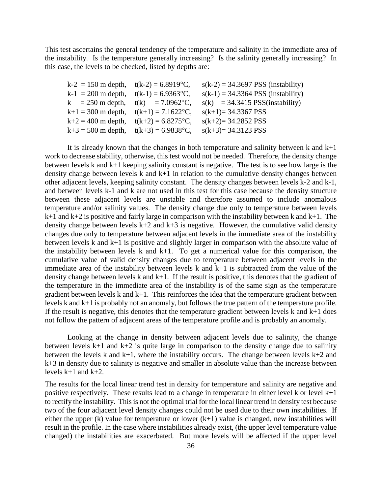This test ascertains the general tendency of the temperature and salinity in the immediate area of the instability. Is the temperature generally increasing? Is the salinity generally increasing? In this case, the levels to be checked, listed by depths are:

|  | $k-2 = 150$ m depth, $t(k-2) = 6.8919$ °C, | $s(k-2) = 34.3697$ PSS (instability) |
|--|--------------------------------------------|--------------------------------------|
|  | $k-1 = 200$ m depth, $t(k-1) = 6.9363$ °C, | $s(k-1) = 34.3364$ PSS (instability) |
|  | k = 250 m depth, $t(k)$ = 7.0962°C,        | $s(k) = 34.3415$ PSS(instability)    |
|  | $k+1 = 300$ m depth, $t(k+1) = 7.1622$ °C, | $s(k+1) = 34.3367$ PSS               |
|  | $k+2 = 400$ m depth, $t(k+2) = 6.8275$ °C, | $s(k+2)=$ 34.2852 PSS                |
|  | $k+3 = 500$ m depth, $t(k+3) = 6.9838$ °C, | $s(k+3) = 34.3123$ PSS               |

It is already known that the changes in both temperature and salinity between  $k$  and  $k+1$ work to decrease stability, otherwise, this test would not be needed. Therefore, the density change between levels k and k+1 keeping salinity constant is negative. The test is to see how large is the density change between levels k and k+1 in relation to the cumulative density changes between other adjacent levels, keeping salinity constant. The density changes between levels k-2 and k-1, and between levels k-1 and k are not used in this test for this case because the density structure between these adjacent levels are unstable and therefore assumed to include anomalous temperature and/or salinity values. The density change due only to temperature between levels  $k+1$  and  $k+2$  is positive and fairly large in comparison with the instability between k and  $k+1$ . The density change between levels  $k+2$  and  $k+3$  is negative. However, the cumulative valid density changes due only to temperature between adjacent levels in the immediate area of the instability between levels k and k+1 is positive and slightly larger in comparison with the absolute value of the instability between levels k and  $k+1$ . To get a numerical value for this comparison, the cumulative value of valid density changes due to temperature between adjacent levels in the immediate area of the instability between levels k and k+1 is subtracted from the value of the density change between levels k and k+1. If the result is positive, this denotes that the gradient of the temperature in the immediate area of the instability is of the same sign as the temperature gradient between levels k and k+1. This reinforces the idea that the temperature gradient between levels k and k+1 is probably not an anomaly, but follows the true pattern of the temperature profile. If the result is negative, this denotes that the temperature gradient between levels  $k$  and  $k+1$  does not follow the pattern of adjacent areas of the temperature profile and is probably an anomaly.

Looking at the change in density between adjacent levels due to salinity, the change between levels  $k+1$  and  $k+2$  is quite large in comparison to the density change due to salinity between the levels k and  $k+1$ , where the instability occurs. The change between levels  $k+2$  and k+3 in density due to salinity is negative and smaller in absolute value than the increase between levels  $k+1$  and  $k+2$ .

The results for the local linear trend test in density for temperature and salinity are negative and positive respectively. These results lead to a change in temperature in either level k or level  $k+1$ to rectify the instability. This is not the optimal trial for the local linear trend in density test because two of the four adjacent level density changes could not be used due to their own instabilities. If either the upper (k) value for temperature or lower  $(k+1)$  value is changed, new instabilities will result in the profile. In the case where instabilities already exist, (the upper level temperature value changed) the instabilities are exacerbated. But more levels will be affected if the upper level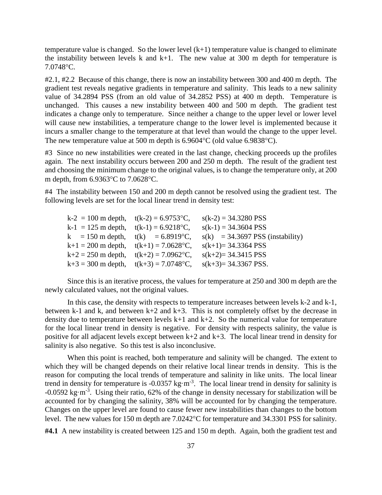temperature value is changed. So the lower level  $(k+1)$  temperature value is changed to eliminate the instability between levels k and  $k+1$ . The new value at 300 m depth for temperature is 7.0748°C.

#2.1, #2.2 Because of this change, there is now an instability between 300 and 400 m depth. The gradient test reveals negative gradients in temperature and salinity. This leads to a new salinity value of 34.2894 PSS (from an old value of 34.2852 PSS) at 400 m depth. Temperature is unchanged. This causes a new instability between 400 and 500 m depth. The gradient test indicates a change only to temperature. Since neither a change to the upper level or lower level will cause new instabilities, a temperature change to the lower level is implemented because it incurs a smaller change to the temperature at that level than would the change to the upper level. The new temperature value at 500 m depth is 6.9604°C (old value 6.9838°C).

#3 Since no new instabilities were created in the last change, checking proceeds up the profiles again. The next instability occurs between 200 and 250 m depth. The result of the gradient test and choosing the minimum change to the original values, is to change the temperature only, at 200 m depth, from 6.9363°C to 7.0628°C.

#4 The instability between 150 and 200 m depth cannot be resolved using the gradient test. The following levels are set for the local linear trend in density test:

| $k-2 = 100$ m depth, $t(k-2) = 6.9753$ °C, | $s(k-2) = 34.3280$ PSS             |
|--------------------------------------------|------------------------------------|
| $k-1 = 125$ m depth, $t(k-1) = 6.9218$ °C, | $s(k-1) = 34.3604$ PSS             |
| k = 150 m depth, $t(k)$ = 6.8919°C,        | $s(k) = 34.3697$ PSS (instability) |
| $k+1 = 200$ m depth, $t(k+1) = 7.0628$ °C, | $s(k+1) = 34.3364$ PSS             |
| $k+2 = 250$ m depth, $t(k+2) = 7.0962$ °C, | $s(k+2)=$ 34.3415 PSS              |
| $k+3 = 300$ m depth, $t(k+3) = 7.0748$ °C, | $s(k+3)=$ 34.3367 PSS.             |

Since this is an iterative process, the values for temperature at 250 and 300 m depth are the newly calculated values, not the original values.

In this case, the density with respects to temperature increases between levels k-2 and k-1, between k-1 and k, and between  $k+2$  and  $k+3$ . This is not completely offset by the decrease in density due to temperature between levels  $k+1$  and  $k+2$ . So the numerical value for temperature for the local linear trend in density is negative. For density with respects salinity, the value is positive for all adjacent levels except between  $k+2$  and  $k+3$ . The local linear trend in density for salinity is also negative. So this test is also inconclusive.

When this point is reached, both temperature and salinity will be changed. The extent to which they will be changed depends on their relative local linear trends in density. This is the reason for computing the local trends of temperature and salinity in like units. The local linear trend in density for temperature is  $-0.0357 \text{ kg} \cdot \text{m}^{-3}$ . The local linear trend in density for salinity is  $-0.0592 \text{ kg} \cdot \text{m}^{-3}$ . Using their ratio, 62% of the change in density necessary for stabilization will be accounted for by changing the salinity, 38% will be accounted for by changing the temperature. Changes on the upper level are found to cause fewer new instabilities than changes to the bottom level. The new values for 150 m depth are 7.0242°C for temperature and 34.3301 PSS for salinity.

**#4.1** A new instability is created between 125 and 150 m depth. Again, both the gradient test and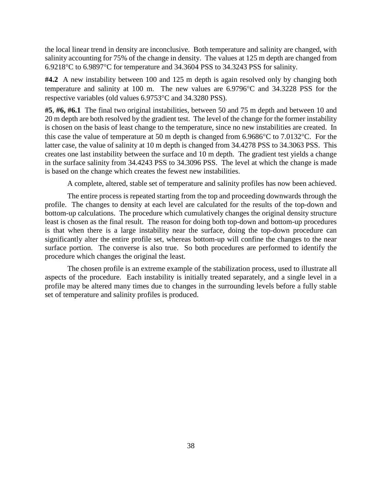the local linear trend in density are inconclusive. Both temperature and salinity are changed, with salinity accounting for 75% of the change in density. The values at 125 m depth are changed from 6.9218°C to 6.9897°C for temperature and 34.3604 PSS to 34.3243 PSS for salinity.

**#4.2** A new instability between 100 and 125 m depth is again resolved only by changing both temperature and salinity at 100 m. The new values are 6.9796°C and 34.3228 PSS for the respective variables (old values 6.9753°C and 34.3280 PSS).

**#5**, **#6, #6.1** The final two original instabilities, between 50 and 75 m depth and between 10 and 20 m depth are both resolved by the gradient test. The level of the change for the former instability is chosen on the basis of least change to the temperature, since no new instabilities are created. In this case the value of temperature at 50 m depth is changed from 6.9686°C to 7.0132°C. For the latter case, the value of salinity at 10 m depth is changed from 34.4278 PSS to 34.3063 PSS. This creates one last instability between the surface and 10 m depth. The gradient test yields a change in the surface salinity from 34.4243 PSS to 34.3096 PSS. The level at which the change is made is based on the change which creates the fewest new instabilities.

A complete, altered, stable set of temperature and salinity profiles has now been achieved.

The entire process is repeated starting from the top and proceeding downwards through the profile. The changes to density at each level are calculated for the results of the top-down and bottom-up calculations. The procedure which cumulatively changes the original density structure least is chosen as the final result. The reason for doing both top-down and bottom-up procedures is that when there is a large instability near the surface, doing the top-down procedure can significantly alter the entire profile set, whereas bottom-up will confine the changes to the near surface portion. The converse is also true. So both procedures are performed to identify the procedure which changes the original the least.

The chosen profile is an extreme example of the stabilization process, used to illustrate all aspects of the procedure. Each instability is initially treated separately, and a single level in a profile may be altered many times due to changes in the surrounding levels before a fully stable set of temperature and salinity profiles is produced.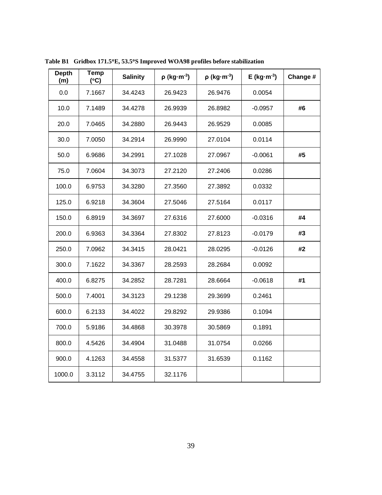| <b>Depth</b><br>(m) | <b>Temp</b><br>(°C) | <b>Salinity</b> | $\rho$ (kg·m <sup>-3</sup> ) | $\rho$ (kg·m <sup>-3</sup> ) | $E$ (kg $\cdot$ m <sup>-3</sup> ) | Change # |
|---------------------|---------------------|-----------------|------------------------------|------------------------------|-----------------------------------|----------|
| 0.0                 | 7.1667              | 34.4243         | 26.9423                      | 26.9476                      | 0.0054                            |          |
| 10.0                | 7.1489              | 34.4278         | 26.9939                      | 26.8982                      | $-0.0957$                         | #6       |
| 20.0                | 7.0465              | 34.2880         | 26.9443                      | 26.9529                      | 0.0085                            |          |
| 30.0                | 7.0050              | 34.2914         | 26.9990                      | 27.0104                      | 0.0114                            |          |
| 50.0                | 6.9686              | 34.2991         | 27.1028                      | 27.0967                      | $-0.0061$                         | #5       |
| 75.0                | 7.0604              | 34.3073         | 27.2120                      | 27.2406                      | 0.0286                            |          |
| 100.0               | 6.9753              | 34.3280         | 27.3560                      | 27.3892                      | 0.0332                            |          |
| 125.0               | 6.9218              | 34.3604         | 27.5046                      | 27.5164                      | 0.0117                            |          |
| 150.0               | 6.8919              | 34.3697         | 27.6316                      | 27.6000                      | $-0.0316$                         | #4       |
| 200.0               | 6.9363              | 34.3364         | 27.8302                      | 27.8123                      | $-0.0179$                         | #3       |
| 250.0               | 7.0962              | 34.3415         | 28.0421                      | 28.0295                      | $-0.0126$                         | #2       |
| 300.0               | 7.1622              | 34.3367         | 28.2593                      | 28.2684                      | 0.0092                            |          |
| 400.0               | 6.8275              | 34.2852         | 28.7281                      | 28.6664                      | $-0.0618$                         | #1       |
| 500.0               | 7.4001              | 34.3123         | 29.1238                      | 29.3699                      | 0.2461                            |          |
| 600.0               | 6.2133              | 34.4022         | 29.8292                      | 29.9386                      | 0.1094                            |          |
| 700.0               | 5.9186              | 34.4868         | 30.3978                      | 30.5869                      | 0.1891                            |          |
| 800.0               | 4.5426              | 34.4904         | 31.0488                      | 31.0754                      | 0.0266                            |          |
| 900.0               | 4.1263              | 34.4558         | 31.5377                      | 31.6539                      | 0.1162                            |          |
| 1000.0              | 3.3112              | 34.4755         | 32.1176                      |                              |                                   |          |

**Table B1 Gridbox 171.5**°**E, 53.5**°**S Improved WOA98 profiles before stabilization**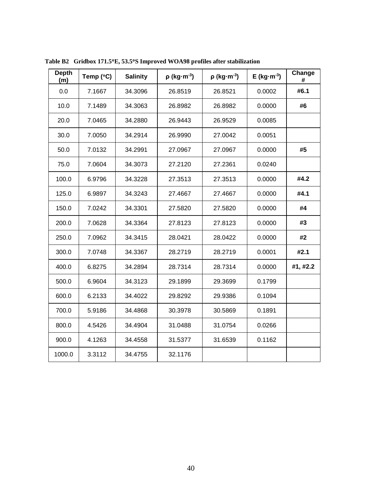| <b>Depth</b><br>(m) | Temp $(^{\circ}C)$ | <b>Salinity</b> | $\rho$ (kg·m <sup>-3</sup> ) | $\rho$ (kg·m <sup>-3</sup> ) | $E$ (kg $\cdot$ m <sup>-3</sup> ) | Change<br># |
|---------------------|--------------------|-----------------|------------------------------|------------------------------|-----------------------------------|-------------|
| 0.0                 | 7.1667             | 34.3096         | 26.8519                      | 26.8521                      | 0.0002                            | #6.1        |
| 10.0                | 7.1489             | 34.3063         | 26.8982                      | 26.8982                      | 0.0000                            | #6          |
| 20.0                | 7.0465             | 34.2880         | 26.9443                      | 26.9529                      | 0.0085                            |             |
| 30.0                | 7.0050             | 34.2914         | 26.9990                      | 27.0042                      | 0.0051                            |             |
| 50.0                | 7.0132             | 34.2991         | 27.0967                      | 27.0967                      | 0.0000                            | #5          |
| 75.0                | 7.0604             | 34.3073         | 27.2120                      | 27.2361                      | 0.0240                            |             |
| 100.0               | 6.9796             | 34.3228         | 27.3513                      | 27.3513                      | 0.0000                            | #4.2        |
| 125.0               | 6.9897             | 34.3243         | 27.4667                      | 27.4667                      | 0.0000                            | #4.1        |
| 150.0               | 7.0242             | 34.3301         | 27.5820                      | 27.5820                      | 0.0000                            | #4          |
| 200.0               | 7.0628             | 34.3364         | 27.8123                      | 27.8123                      | 0.0000                            | #3          |
| 250.0               | 7.0962             | 34.3415         | 28.0421                      | 28.0422                      | 0.0000                            | #2          |
| 300.0               | 7.0748             | 34.3367         | 28.2719                      | 28.2719                      | 0.0001                            | #2.1        |
| 400.0               | 6.8275             | 34.2894         | 28.7314                      | 28.7314                      | 0.0000                            | #1, #2.2    |
| 500.0               | 6.9604             | 34.3123         | 29.1899                      | 29.3699                      | 0.1799                            |             |
| 600.0               | 6.2133             | 34.4022         | 29.8292                      | 29.9386                      | 0.1094                            |             |
| 700.0               | 5.9186             | 34.4868         | 30.3978                      | 30.5869                      | 0.1891                            |             |
| 800.0               | 4.5426             | 34.4904         | 31.0488                      | 31.0754                      | 0.0266                            |             |
| 900.0               | 4.1263             | 34.4558         | 31.5377                      | 31.6539                      | 0.1162                            |             |
| 1000.0              | 3.3112             | 34.4755         | 32.1176                      |                              |                                   |             |

**Table B2 Gridbox 171.5**°**E, 53.5**°**S Improved WOA98 profiles after stabilization**